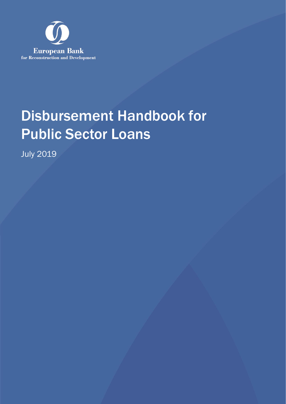

# Disbursement Handbook for Public Sector Loans

July 2019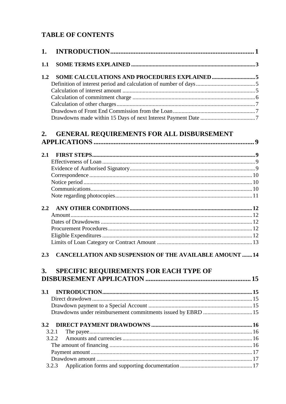# **TABLE OF CONTENTS**

| 1.        |                                                                                                         |  |
|-----------|---------------------------------------------------------------------------------------------------------|--|
| 1.1       |                                                                                                         |  |
| 1.2       |                                                                                                         |  |
|           |                                                                                                         |  |
|           |                                                                                                         |  |
|           |                                                                                                         |  |
|           |                                                                                                         |  |
|           |                                                                                                         |  |
|           |                                                                                                         |  |
| 2.        | <b>GENERAL REQUIREMENTS FOR ALL DISBURSEMENT</b>                                                        |  |
| 2.1       |                                                                                                         |  |
|           |                                                                                                         |  |
|           |                                                                                                         |  |
|           |                                                                                                         |  |
|           |                                                                                                         |  |
|           |                                                                                                         |  |
|           |                                                                                                         |  |
| 2.2       |                                                                                                         |  |
|           |                                                                                                         |  |
|           |                                                                                                         |  |
|           |                                                                                                         |  |
|           |                                                                                                         |  |
|           |                                                                                                         |  |
| 2.3<br>3. | <b>CANCELLATION AND SUSPENSION OF THE AVAILABLE AMOUNT 14</b><br>SPECIFIC REQUIREMENTS FOR EACH TYPE OF |  |
|           |                                                                                                         |  |
| 3.1       |                                                                                                         |  |
|           |                                                                                                         |  |
|           |                                                                                                         |  |
|           | Drawdowns under reimbursement commitments issued by EBRD  15                                            |  |
| 3.2       |                                                                                                         |  |
|           | 3.2.1                                                                                                   |  |
|           | 3.2.2                                                                                                   |  |
|           |                                                                                                         |  |
|           |                                                                                                         |  |
|           |                                                                                                         |  |
|           | 3.2.3                                                                                                   |  |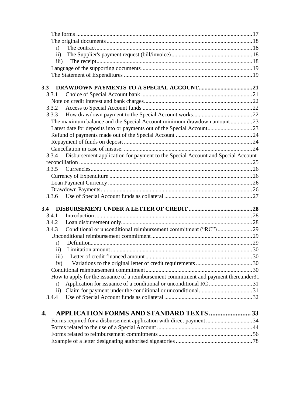| $\mathbf{i}$       |                                                                                       |  |
|--------------------|---------------------------------------------------------------------------------------|--|
| $\rm ii)$          |                                                                                       |  |
| iii)               |                                                                                       |  |
|                    |                                                                                       |  |
|                    |                                                                                       |  |
| 3.3                |                                                                                       |  |
| 3.3.1              |                                                                                       |  |
|                    |                                                                                       |  |
| 3.3.2              |                                                                                       |  |
| 3.3.3              |                                                                                       |  |
|                    | The maximum balance and the Special Account minimum drawdown amount23                 |  |
|                    |                                                                                       |  |
|                    |                                                                                       |  |
|                    |                                                                                       |  |
|                    |                                                                                       |  |
|                    | 3.3.4 Disbursement application for payment to the Special Account and Special Account |  |
|                    |                                                                                       |  |
| 3.3.5              |                                                                                       |  |
|                    |                                                                                       |  |
|                    |                                                                                       |  |
|                    |                                                                                       |  |
|                    |                                                                                       |  |
|                    |                                                                                       |  |
| 3.4<br>3.4.1       |                                                                                       |  |
|                    |                                                                                       |  |
| 3.4.2<br>3.4.3     |                                                                                       |  |
|                    |                                                                                       |  |
|                    |                                                                                       |  |
| $\mathbf{i}$       |                                                                                       |  |
| $\rm ii)$          |                                                                                       |  |
| $\overline{iii}$ ) |                                                                                       |  |
| iv)                |                                                                                       |  |
|                    |                                                                                       |  |
|                    | How to apply for the issuance of a reimbursement commitment and payment thereunder31  |  |
| $\mathbf{i}$       | Application for issuance of a conditional or unconditional RC 31                      |  |
| $\mathbf{ii}$      |                                                                                       |  |
| 3.4.4              |                                                                                       |  |
| 4.                 | <b>APPLICATION FORMS AND STANDARD TEXTS  33</b>                                       |  |
|                    | Forms required for a disbursement application with direct payment 34                  |  |
|                    |                                                                                       |  |
|                    |                                                                                       |  |
|                    |                                                                                       |  |
|                    |                                                                                       |  |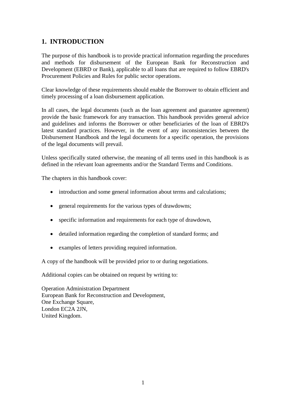# <span id="page-3-0"></span>**1. INTRODUCTION**

The purpose of this handbook is to provide practical information regarding the procedures and methods for disbursement of the European Bank for Reconstruction and Development (EBRD or Bank), applicable to all loans that are required to follow EBRD's Procurement Policies and Rules for public sector operations.

Clear knowledge of these requirements should enable the Borrower to obtain efficient and timely processing of a loan disbursement application.

In all cases, the legal documents (such as the loan agreement and guarantee agreement) provide the basic framework for any transaction. This handbook provides general advice and guidelines and informs the Borrower or other beneficiaries of the loan of EBRD's latest standard practices. However, in the event of any inconsistencies between the Disbursement Handbook and the legal documents for a specific operation, the provisions of the legal documents will prevail.

Unless specifically stated otherwise, the meaning of all terms used in this handbook is as defined in the relevant loan agreements and/or the Standard Terms and Conditions.

The chapters in this handbook cover:

- introduction and some general information about terms and calculations;
- general requirements for the various types of drawdowns;
- specific information and requirements for each type of drawdown,
- detailed information regarding the completion of standard forms; and
- examples of letters providing required information.

A copy of the handbook will be provided prior to or during negotiations.

Additional copies can be obtained on request by writing to:

Operation Administration Department European Bank for Reconstruction and Development, One Exchange Square, London EC2A 2JN, United Kingdom.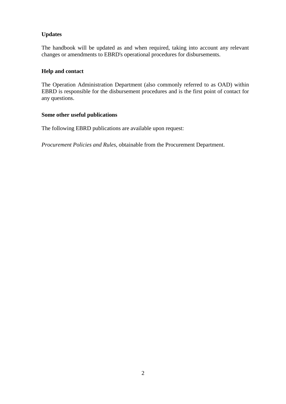# **Updates**

The handbook will be updated as and when required, taking into account any relevant changes or amendments to EBRD's operational procedures for disbursements.

# **Help and contact**

The Operation Administration Department (also commonly referred to as OAD) within EBRD is responsible for the disbursement procedures and is the first point of contact for any questions.

#### **Some other useful publications**

The following EBRD publications are available upon request:

*Procurement Policies and Rules*, obtainable from the Procurement Department.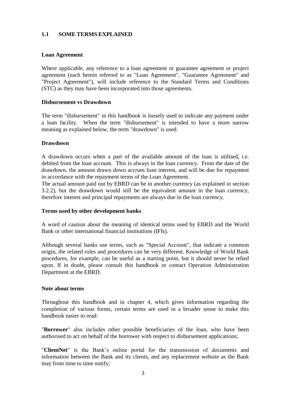#### <span id="page-5-0"></span>**1.1 SOME TERMS EXPLAINED**

#### **Loan Agreement**

Where applicable, any reference to a loan agreement or guarantee agreement or project agreement (each herein referred to as "Loan Agreement", "Guarantee Agreement" and "Project Agreement"), will include reference to the Standard Terms and Conditions (STC) as they may have been incorporated into those agreements.

#### **Disbursement vs Drawdown**

The term "disbursement" in this handbook is loosely used to indicate any payment under a loan facility. When the term "disbursement" is intended to have a more narrow meaning as explained below, the term "drawdown" is used.

#### **Drawdown**

A drawdown occurs when a part of the available amount of the loan is utilised, i.e. debited from the loan account. This is always in the loan currency. From the date of the drawdown, the amount drawn down accrues loan interest, and will be due for repayment in accordance with the repayment terms of the Loan Agreement.

The actual amount paid out by EBRD can be in another currency (as explained in section 3.2.2), but the drawdown would still be the equivalent amount in the loan currency, therefore interest and principal repayments are always due in the loan currency.

#### **Terms used by other development banks**

A word of caution about the meaning of identical terms used by EBRD and the World Bank or other international financial institutions (IFIs).

Although several banks use terms, such as "Special Account", that indicate a common origin, the related rules and procedures can be very different. Knowledge of World Bank procedures, for example, can be useful as a starting point, but it should never be relied upon. If in doubt, please consult this handbook or contact Operation Administration Department at the EBRD.

#### **Note about terms**

Throughout this handbook and in chapter 4, which gives information regarding the completion of various forms, certain terms are used in a broader sense to make this handbook easier to read:

"**Borrower**" also includes other possible beneficiaries of the loan, who have been authorised to act on behalf of the borrower with respect to disbursement applications;

"**ClientNet**" is the Bank's online portal for the transmission of documents and information between the Bank and its clients, and any replacement website as the Bank may from time to time notify;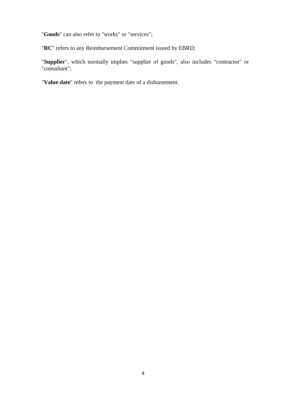"**Goods**" can also refer to "works" or "services";

"**RC**" refers to any Reimbursement Commitment issued by EBRD;

"**Supplier**", which normally implies "supplier of goods", also includes "contractor" or "consultant";

"**Value date**" refers to the payment date of a disbursement.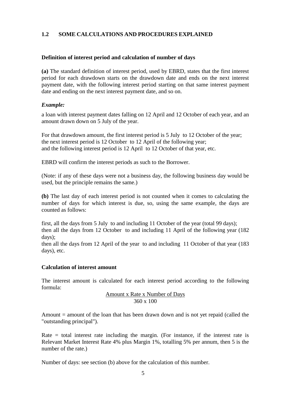#### <span id="page-7-0"></span>**1.2 SOME CALCULATIONS AND PROCEDURES EXPLAINED**

#### <span id="page-7-1"></span>**Definition of interest period and calculation of number of days**

**(a)** The standard definition of interest period, used by EBRD, states that the first interest period for each drawdown starts on the drawdown date and ends on the next interest payment date, with the following interest period starting on that same interest payment date and ending on the next interest payment date, and so on.

#### *Example:*

a loan with interest payment dates falling on 12 April and 12 October of each year, and an amount drawn down on 5 July of the year.

For that drawdown amount, the first interest period is 5 July to 12 October of the year; the next interest period is 12 October to 12 April of the following year; and the following interest period is 12 April to 12 October of that year, etc.

EBRD will confirm the interest periods as such to the Borrower.

(Note: if any of these days were not a business day, the following business day would be used, but the principle remains the same.)

**(b)** The last day of each interest period is not counted when it comes to calculating the number of days for which interest is due, so, using the same example, the days are counted as follows:

first, all the days from 5 July to and including 11 October of the year (total 99 days); then all the days from 12 October to and including 11 April of the following year (182 days);

then all the days from 12 April of the year to and including 11 October of that year (183 days), etc.

#### <span id="page-7-2"></span>**Calculation of interest amount**

The interest amount is calculated for each interest period according to the following formula:

#### Amount x Rate x Number of Days 360 x 100

Amount  $=$  amount of the loan that has been drawn down and is not yet repaid (called the "outstanding principal").

Rate  $=$  total interest rate including the margin. (For instance, if the interest rate is Relevant Market Interest Rate 4% plus Margin 1%, totalling 5% per annum, then 5 is the number of the rate.)

Number of days: see section (b) above for the calculation of this number.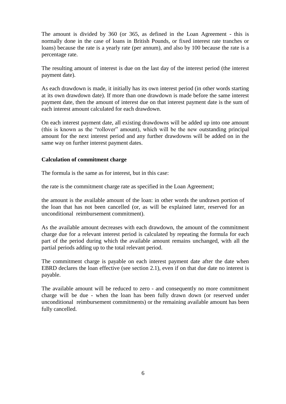The amount is divided by 360 (or 365, as defined in the Loan Agreement - this is normally done in the case of loans in British Pounds, or fixed interest rate tranches or loans) because the rate is a yearly rate (per annum), and also by 100 because the rate is a percentage rate.

The resulting amount of interest is due on the last day of the interest period (the interest payment date).

As each drawdown is made, it initially has its own interest period (in other words starting at its own drawdown date). If more than one drawdown is made before the same interest payment date, then the amount of interest due on that interest payment date is the sum of each interest amount calculated for each drawdown.

On each interest payment date, all existing drawdowns will be added up into one amount (this is known as the "rollover" amount), which will be the new outstanding principal amount for the next interest period and any further drawdowns will be added on in the same way on further interest payment dates.

#### <span id="page-8-0"></span>**Calculation of commitment charge**

The formula is the same as for interest, but in this case:

the rate is the commitment charge rate as specified in the Loan Agreement;

the amount is the available amount of the loan: in other words the undrawn portion of the loan that has not been cancelled (or, as will be explained later, reserved for an unconditional reimbursement commitment).

As the available amount decreases with each drawdown, the amount of the commitment charge due for a relevant interest period is calculated by repeating the formula for each part of the period during which the available amount remains unchanged, with all the partial periods adding up to the total relevant period.

The commitment charge is payable on each interest payment date after the date when EBRD declares the loan effective (see section 2.1), even if on that due date no interest is payable.

The available amount will be reduced to zero - and consequently no more commitment charge will be due - when the loan has been fully drawn down (or reserved under unconditional reimbursement commitments) or the remaining available amount has been fully cancelled.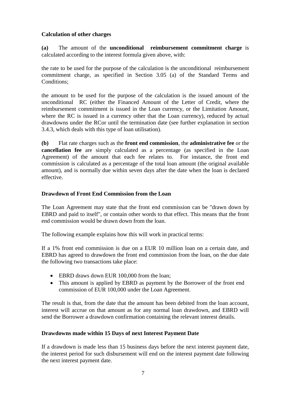### <span id="page-9-0"></span>**Calculation of other charges**

**(a)** The amount of the **unconditional reimbursement commitment charge** is calculated according to the interest formula given above, with:

the rate to be used for the purpose of the calculation is the unconditional reimbursement commitment charge, as specified in Section 3.05 (a) of the Standard Terms and Conditions;

the amount to be used for the purpose of the calculation is the issued amount of the unconditional RC (either the Financed Amount of the Letter of Credit, where the reimbursement commitment is issued in the Loan currency, or the Limitation Amount, where the RC is issued in a currency other that the Loan currency), reduced by actual drawdowns under the RCor until the termination date (see further explanation in section 3.4.3, which deals with this type of loan utilisation).

**(b)** Flat rate charges such as the **front end commission**, the **administrative fee** or the **cancellation fee** are simply calculated as a percentage (as specified in the Loan Agreement) of the amount that each fee relates to. For instance, the front end commission is calculated as a percentage of the total loan amount (the original available amount), and is normally due within seven days after the date when the loan is declared effective.

#### <span id="page-9-1"></span>**Drawdown of Front End Commission from the Loan**

The Loan Agreement may state that the front end commission can be "drawn down by EBRD and paid to itself", or contain other words to that effect. This means that the front end commission would be drawn down from the loan.

The following example explains how this will work in practical terms:

If a 1% front end commission is due on a EUR 10 million loan on a certain date, and EBRD has agreed to drawdown the front end commission from the loan, on the due date the following two transactions take place:

- EBRD draws down EUR 100,000 from the loan;
- This amount is applied by EBRD as payment by the Borrower of the front end commission of EUR 100,000 under the Loan Agreement.

The result is that, from the date that the amount has been debited from the loan account, interest will accrue on that amount as for any normal loan drawdown, and EBRD will send the Borrower a drawdown confirmation containing the relevant interest details.

#### <span id="page-9-2"></span>**Drawdowns made within 15 Days of next Interest Payment Date**

If a drawdown is made less than 15 business days before the next interest payment date, the interest period for such disbursement will end on the interest payment date following the next interest payment date.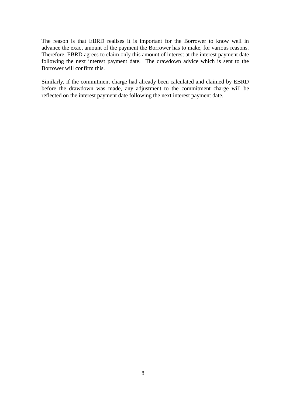The reason is that EBRD realises it is important for the Borrower to know well in advance the exact amount of the payment the Borrower has to make, for various reasons. Therefore, EBRD agrees to claim only this amount of interest at the interest payment date following the next interest payment date. The drawdown advice which is sent to the Borrower will confirm this.

Similarly, if the commitment charge had already been calculated and claimed by EBRD before the drawdown was made, any adjustment to the commitment charge will be reflected on the interest payment date following the next interest payment date.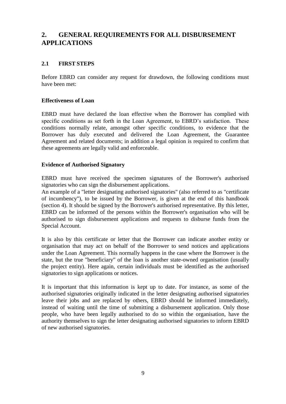# <span id="page-11-0"></span>**2. GENERAL REQUIREMENTS FOR ALL DISBURSEMENT APPLICATIONS**

### <span id="page-11-1"></span>**2.1 FIRST STEPS**

Before EBRD can consider any request for drawdown, the following conditions must have been met:

#### <span id="page-11-2"></span>**Effectiveness of Loan**

EBRD must have declared the loan effective when the Borrower has complied with specific conditions as set forth in the Loan Agreement, to EBRD's satisfaction. These conditions normally relate, amongst other specific conditions, to evidence that the Borrower has duly executed and delivered the Loan Agreement, the Guarantee Agreement and related documents; in addition a legal opinion is required to confirm that these agreements are legally valid and enforceable.

#### <span id="page-11-3"></span>**Evidence of Authorised Signatory**

EBRD must have received the specimen signatures of the Borrower's authorised signatories who can sign the disbursement applications.

An example of a "letter designating authorised signatories" (also referred to as "certificate of incumbency"), to be issued by the Borrower, is given at the end of this handbook (section 4). It should be signed by the Borrower's authorised representative. By this letter, EBRD can be informed of the persons within the Borrower's organisation who will be authorised to sign disbursement applications and requests to disburse funds from the Special Account.

It is also by this certificate or letter that the Borrower can indicate another entity or organisation that may act on behalf of the Borrower to send notices and applications under the Loan Agreement. This normally happens in the case where the Borrower is the state, but the true "beneficiary" of the loan is another state-owned organisation (usually the project entity). Here again, certain individuals must be identified as the authorised signatories to sign applications or notices.

It is important that this information is kept up to date. For instance, as some of the authorised signatories originally indicated in the letter designating authorised signatories leave their jobs and are replaced by others, EBRD should be informed immediately, instead of waiting until the time of submitting a disbursement application. Only those people, who have been legally authorised to do so within the organisation, have the authority themselves to sign the letter designating authorised signatories to inform EBRD of new authorised signatories.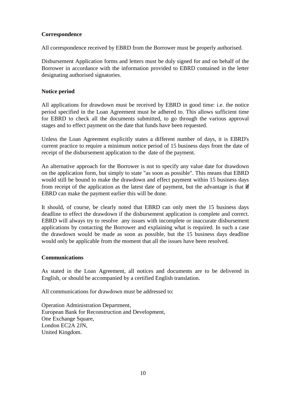# <span id="page-12-0"></span>**Correspondence**

All correspondence received by EBRD from the Borrower must be properly authorised.

Disbursement Application forms and letters must be duly signed for and on behalf of the Borrower in accordance with the information provided to EBRD contained in the letter designating authorised signatories.

### <span id="page-12-1"></span>**Notice period**

All applications for drawdown must be received by EBRD in good time: i.e. the notice period specified in the Loan Agreement must be adhered to. This allows sufficient time for EBRD to check all the documents submitted, to go through the various approval stages and to effect payment on the date that funds have been requested.

Unless the Loan Agreement explicitly states a different number of days, it is EBRD's current practice to require a minimum notice period of 15 business days from the date of receipt of the disbursement application to the date of the payment.

An alternative approach for the Borrower is not to specify any value date for drawdown on the application form, but simply to state "as soon as possible". This means that EBRD would still be bound to make the drawdown and effect payment within 15 business days from receipt of the application as the latest date of payment, but the advantage is that **if** EBRD can make the payment earlier this will be done.

It should, of course, be clearly noted that EBRD can only meet the 15 business days deadline to effect the drawdown if the disbursement application is complete and correct. EBRD will always try to resolve any issues with incomplete or inaccurate disbursement applications by contacting the Borrower and explaining what is required. In such a case the drawdown would be made as soon as possible, but the 15 business days deadline would only be applicable from the moment that all the issues have been resolved.

#### <span id="page-12-2"></span>**Communications**

As stated in the Loan Agreement, all notices and documents are to be delivered in English, or should be accompanied by a certified English translation.

All communications for drawdown must be addressed to:

Operation Administration Department, European Bank for Reconstruction and Development, One Exchange Square, London EC2A 2JN, United Kingdom.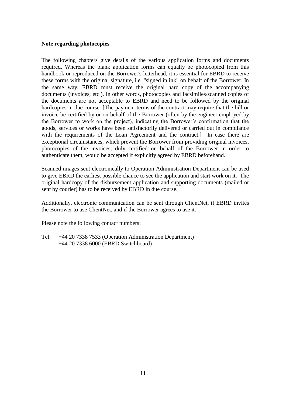#### <span id="page-13-0"></span>**Note regarding photocopies**

The following chapters give details of the various application forms and documents required. Whereas the blank application forms can equally be photocopied from this handbook or reproduced on the Borrower's letterhead, it is essential for EBRD to receive these forms with the original signature, i.e. "signed in ink" on behalf of the Borrower. In the same way, EBRD must receive the original hard copy of the accompanying documents (invoices, etc.). In other words, photocopies and facsimiles/scanned copies of the documents are not acceptable to EBRD and need to be followed by the original hardcopies in due course. [The payment terms of the contract may require that the bill or invoice be certified by or on behalf of the Borrower (often by the engineer employed by the Borrower to work on the project), indicating the Borrower's confirmation that the goods, services or works have been satisfactorily delivered or carried out in compliance with the requirements of the Loan Agreement and the contract. In case there are exceptional circumstances, which prevent the Borrower from providing original invoices, photocopies of the invoices, duly certified on behalf of the Borrower in order to authenticate them, would be accepted if explicitly agreed by EBRD beforehand.

Scanned images sent electronically to Operation Administration Department can be used to give EBRD the earliest possible chance to see the application and start work on it. The original hardcopy of the disbursement application and supporting documents (mailed or sent by courier) has to be received by EBRD in due course.

Additionally, electronic communication can be sent through ClientNet, if EBRD invites the Borrower to use ClientNet, and if the Borrower agrees to use it.

Please note the following contact numbers:

Tel: +44 20 7338 7533 (Operation Administration Department) +44 20 7338 6000 (EBRD Switchboard)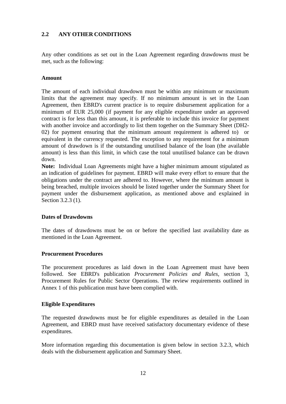#### <span id="page-14-0"></span>**2.2 ANY OTHER CONDITIONS**

Any other conditions as set out in the Loan Agreement regarding drawdowns must be met, such as the following:

#### <span id="page-14-1"></span>**Amount**

The amount of each individual drawdown must be within any minimum or maximum limits that the agreement may specify. If no minimum amount is set in the Loan Agreement, then EBRD's current practice is to require disbursement application for a minimum of EUR 25,000 (if payment for any eligible expenditure under an approved contract is for less than this amount, it is preferable to include this invoice for payment with another invoice and accordingly to list them together on the Summary Sheet (DH2- 02) for payment ensuring that the minimum amount requirement is adhered to) or equivalent in the currency requested. The exception to any requirement for a minimum amount of drawdown is if the outstanding unutilised balance of the loan (the available amount) is less than this limit, in which case the total unutilised balance can be drawn down.

**Note:** Individual Loan Agreements might have a higher minimum amount stipulated as an indication of guidelines for payment. EBRD will make every effort to ensure that the obligations under the contract are adhered to. However, where the minimum amount is being breached, multiple invoices should be listed together under the Summary Sheet for payment under the disbursement application, as mentioned above and explained in Section 3.2.3 (1).

#### <span id="page-14-2"></span>**Dates of Drawdowns**

The dates of drawdowns must be on or before the specified last availability date as mentioned in the Loan Agreement.

#### <span id="page-14-3"></span>**Procurement Procedures**

The procurement procedures as laid down in the Loan Agreement must have been followed. See EBRD's publication *Procurement Policies and Rules,* section 3, Procurement Rules for Public Sector Operations. The review requirements outlined in Annex 1 of this publication must have been complied with.

#### <span id="page-14-4"></span>**Eligible Expenditures**

The requested drawdowns must be for eligible expenditures as detailed in the Loan Agreement, and EBRD must have received satisfactory documentary evidence of these expenditures.

More information regarding this documentation is given below in section 3.2.3, which deals with the disbursement application and Summary Sheet.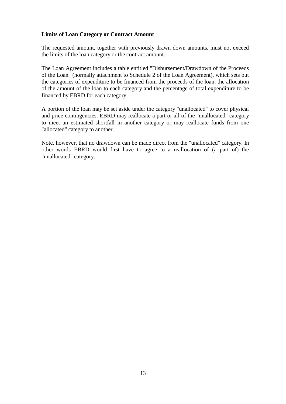#### <span id="page-15-0"></span>**Limits of Loan Category or Contract Amount**

The requested amount, together with previously drawn down amounts, must not exceed the limits of the loan category or the contract amount.

The Loan Agreement includes a table entitled "Disbursement/Drawdown of the Proceeds of the Loan" (normally attachment to Schedule 2 of the Loan Agreement), which sets out the categories of expenditure to be financed from the proceeds of the loan, the allocation of the amount of the loan to each category and the percentage of total expenditure to be financed by EBRD for each category.

A portion of the loan may be set aside under the category "unallocated" to cover physical and price contingencies. EBRD may reallocate a part or all of the "unallocated" category to meet an estimated shortfall in another category or may reallocate funds from one "allocated" category to another.

Note, however, that no drawdown can be made direct from the "unallocated" category. In other words EBRD would first have to agree to a reallocation of (a part of) the "unallocated" category.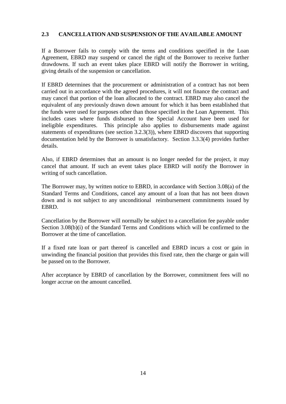# <span id="page-16-0"></span>**2.3 CANCELLATION AND SUSPENSION OF THE AVAILABLE AMOUNT**

If a Borrower fails to comply with the terms and conditions specified in the Loan Agreement, EBRD may suspend or cancel the right of the Borrower to receive further drawdowns. If such an event takes place EBRD will notify the Borrower in writing, giving details of the suspension or cancellation.

If EBRD determines that the procurement or administration of a contract has not been carried out in accordance with the agreed procedures, it will not finance the contract and may cancel that portion of the loan allocated to the contract. EBRD may also cancel the equivalent of any previously drawn down amount for which it has been established that the funds were used for purposes other than those specified in the Loan Agreement. This includes cases where funds disbursed to the Special Account have been used for ineligible expenditures. This principle also applies to disbursements made against statements of expenditures (see section 3.2.3(3)), where EBRD discovers that supporting documentation held by the Borrower is unsatisfactory. Section 3.3.3(4) provides further details.

Also, if EBRD determines that an amount is no longer needed for the project, it may cancel that amount. If such an event takes place EBRD will notify the Borrower in writing of such cancellation.

The Borrower may, by written notice to EBRD, in accordance with Section 3.08(a) of the Standard Terms and Conditions, cancel any amount of a loan that has not been drawn down and is not subject to any unconditional reimbursement commitments issued by EBRD.

Cancellation by the Borrower will normally be subject to a cancellation fee payable under Section 3.08(b)(i) of the Standard Terms and Conditions which will be confirmed to the Borrower at the time of cancellation.

If a fixed rate loan or part thereof is cancelled and EBRD incurs a cost or gain in unwinding the financial position that provides this fixed rate, then the charge or gain will be passed on to the Borrower.

After acceptance by EBRD of cancellation by the Borrower, commitment fees will no longer accrue on the amount cancelled.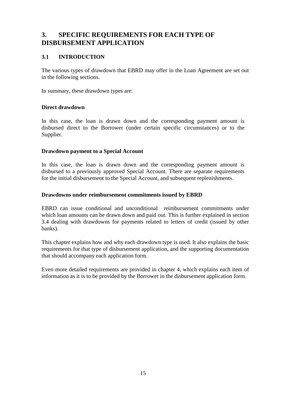# <span id="page-17-0"></span>**3. SPECIFIC REQUIREMENTS FOR EACH TYPE OF DISBURSEMENT APPLICATION**

# <span id="page-17-1"></span>**3.1 INTRODUCTION**

The various types of drawdown that EBRD may offer in the Loan Agreement are set out in the following sections.

In summary, these drawdown types are:

#### <span id="page-17-2"></span>**Direct drawdown**

In this case, the loan is drawn down and the corresponding payment amount is disbursed direct to the Borrower (under certain specific circumstances) or to the Supplier.

#### <span id="page-17-3"></span>**Drawdown payment to a Special Account**

In this case, the loan is drawn down and the corresponding payment amount is disbursed to a previously approved Special Account. There are separate requirements for the initial disbursement to the Special Account, and subsequent replenishments.

#### <span id="page-17-4"></span>**Drawdowns under reimbursement commitments issued by EBRD**

EBRD can issue conditional and unconditional reimbursement commitments under which loan amounts can be drawn down and paid out. This is further explained in section 3.4 dealing with drawdowns for payments related to letters of credit (issued by other banks).

This chapter explains how and why each drawdown type is used. It also explains the basic requirements for that type of disbursement application, and the supporting documentation that should accompany each application form.

Even more detailed requirements are provided in chapter 4, which explains each item of information as it is to be provided by the Borrower in the disbursement application form.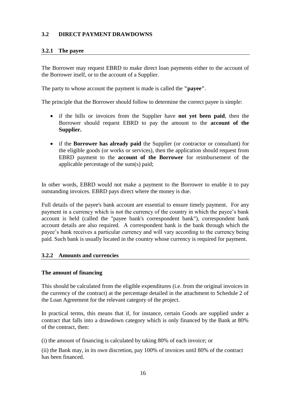# <span id="page-18-0"></span>**3.2 DIRECT PAYMENT DRAWDOWNS**

# <span id="page-18-1"></span>**3.2.1 The payee**

The Borrower may request EBRD to make direct loan payments either to the account of the Borrower itself, or to the account of a Supplier.

The party to whose account the payment is made is called the **"payee"**.

The principle that the Borrower should follow to determine the correct payee is simple:

- if the bills or invoices from the Supplier have **not yet been paid**, then the Borrower should request EBRD to pay the amount to the **account of the Supplier.**
- if the **Borrower has already paid** the Supplier (or contractor or consultant) for the eligible goods (or works or services), then the application should request from EBRD payment to the **account of the Borrower** for reimbursement of the applicable percentage of the sum(s) paid;

In other words, EBRD would not make a payment to the Borrower to enable it to pay outstanding invoices. EBRD pays direct where the money is due.

Full details of the payee's bank account are essential to ensure timely payment. For any payment in a currency which is not the currency of the country in which the payee's bank account is held (called the "payee bank's correspondent bank"), correspondent bank account details are also required. A correspondent bank is the bank through which the payee's bank receives a particular currency and will vary according to the currency being paid. Such bank is usually located in the country whose currency is required for payment.

#### <span id="page-18-2"></span>**3.2.2 Amounts and currencies**

#### <span id="page-18-3"></span>**The amount of financing**

This should be calculated from the eligible expenditures (i.e. from the original invoices in the currency of the contract) at the percentage detailed in the attachment to Schedule 2 of the Loan Agreement for the relevant category of the project.

In practical terms, this means that if, for instance, certain Goods are supplied under a contract that falls into a drawdown category which is only financed by the Bank at 80% of the contract, then:

(i) the amount of financing is calculated by taking 80% of each invoice; or

(ii) the Bank may, in its own discretion, pay 100% of invoices until 80% of the contract has been financed.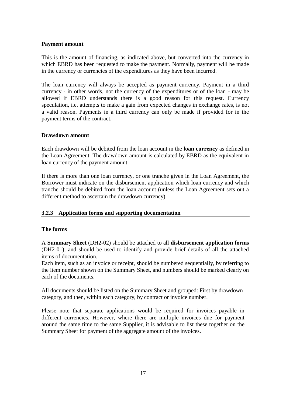#### <span id="page-19-0"></span>**Payment amount**

This is the amount of financing, as indicated above, but converted into the currency in which EBRD has been requested to make the payment. Normally, payment will be made in the currency or currencies of the expenditures as they have been incurred.

The loan currency will always be accepted as payment currency. Payment in a third currency - in other words, not the currency of the expenditures or of the loan - may be allowed if EBRD understands there is a good reason for this request. Currency speculation, i.e. attempts to make a gain from expected changes in exchange rates, is not a valid reason. Payments in a third currency can only be made if provided for in the payment terms of the contract.

#### <span id="page-19-1"></span>**Drawdown amount**

Each drawdown will be debited from the loan account in the **loan currency** as defined in the Loan Agreement. The drawdown amount is calculated by EBRD as the equivalent in loan currency of the payment amount.

If there is more than one loan currency, or one tranche given in the Loan Agreement, the Borrower must indicate on the disbursement application which loan currency and which tranche should be debited from the loan account (unless the Loan Agreement sets out a different method to ascertain the drawdown currency).

# <span id="page-19-2"></span>**3.2.3 Application forms and supporting documentation**

#### <span id="page-19-3"></span>**The forms**

A **Summary Sheet** (DH2-02) should be attached to all **disbursement application forms**  (DH2-01), and should be used to identify and provide brief details of all the attached items of documentation.

Each item, such as an invoice or receipt, should be numbered sequentially, by referring to the item number shown on the Summary Sheet, and numbers should be marked clearly on each of the documents.

All documents should be listed on the Summary Sheet and grouped: First by drawdown category, and then, within each category, by contract or invoice number.

Please note that separate applications would be required for invoices payable in different currencies. However, where there are multiple invoices due for payment around the same time to the same Supplier, it is advisable to list these together on the Summary Sheet for payment of the aggregate amount of the invoices.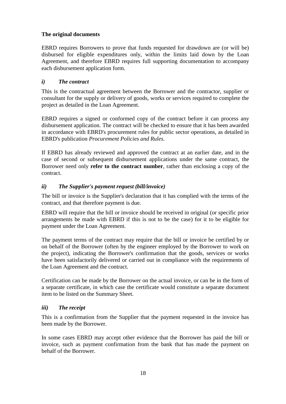### <span id="page-20-0"></span>**The original documents**

EBRD requires Borrowers to prove that funds requested for drawdown are (or will be) disbursed for eligible expenditures only, within the limits laid down by the Loan Agreement, and therefore EBRD requires full supporting documentation to accompany each disbursement application form.

### <span id="page-20-1"></span>*i) The contract*

This is the contractual agreement between the Borrower and the contractor, supplier or consultant for the supply or delivery of goods, works or services required to complete the project as detailed in the Loan Agreement.

EBRD requires a signed or conformed copy of the contract before it can process any disbursement application. The contract will be checked to ensure that it has been awarded in accordance with EBRD's procurement rules for public sector operations, as detailed in EBRD's publication *Procurement Policies and Rules*.

If EBRD has already reviewed and approved the contract at an earlier date, and in the case of second or subsequent disbursement applications under the same contract, the Borrower need only **refer to the contract number**, rather than enclosing a copy of the contract.

#### <span id="page-20-2"></span>*ii) The Supplier's payment request (bill/invoice)*

The bill or invoice is the Supplier's declaration that it has complied with the terms of the contract, and that therefore payment is due.

EBRD will require that the bill or invoice should be received in original (or specific prior arrangements be made with EBRD if this is not to be the case) for it to be eligible for payment under the Loan Agreement.

The payment terms of the contract may require that the bill or invoice be certified by or on behalf of the Borrower (often by the engineer employed by the Borrower to work on the project), indicating the Borrower's confirmation that the goods, services or works have been satisfactorily delivered or carried out in compliance with the requirements of the Loan Agreement and the contract.

Certification can be made by the Borrower on the actual invoice, or can be in the form of a separate certificate, in which case the certificate would constitute a separate document item to be listed on the Summary Sheet.

# <span id="page-20-3"></span>*iii) The receipt*

This is a confirmation from the Supplier that the payment requested in the invoice has been made by the Borrower.

In some cases EBRD may accept other evidence that the Borrower has paid the bill or invoice, such as payment confirmation from the bank that has made the payment on behalf of the Borrower.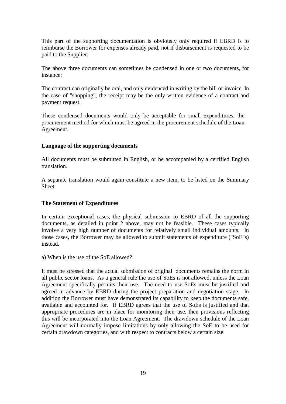This part of the supporting documentation is obviously only required if EBRD is to reimburse the Borrower for expenses already paid, not if disbursement is requested to be paid to the Supplier.

The above three documents can sometimes be condensed in one or two documents, for instance:

The contract can originally be oral, and only evidenced in writing by the bill or invoice. In the case of "shopping", the receipt may be the only written evidence of a contract and payment request.

These condensed documents would only be acceptable for small expenditures, the procurement method for which must be agreed in the procurement schedule of the Loan Agreement.

#### <span id="page-21-0"></span>**Language of the supporting documents**

All documents must be submitted in English, or be accompanied by a certified English translation.

A separate translation would again constitute a new item, to be listed on the Summary Sheet.

#### <span id="page-21-1"></span>**The Statement of Expenditures**

In certain exceptional cases, the physical submission to EBRD of all the supporting documents, as detailed in point 2 above, may not be feasible. These cases typically involve a very high number of documents for relatively small individual amounts. In those cases, the Borrower may be allowed to submit statements of expenditure ("SoE"s) instead.

a) When is the use of the SoE allowed?

It must be stressed that the actual submission of original documents remains the norm in all public sector loans. As a general rule the use of SoEs is not allowed, unless the Loan Agreement specifically permits their use. The need to use SoEs must be justified and agreed in advance by EBRD during the project preparation and negotiation stage. In addition the Borrower must have demonstrated its capability to keep the documents safe, available and accounted for. If EBRD agrees that the use of SoEs is justified and that appropriate procedures are in place for monitoring their use, then provisions reflecting this will be incorporated into the Loan Agreement. The drawdown schedule of the Loan Agreement will normally impose limitations by only allowing the SoE to be used for certain drawdown categories, and with respect to contracts below a certain size.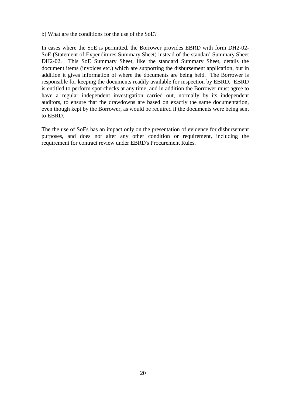b) What are the conditions for the use of the SoE?

In cases where the SoE is permitted, the Borrower provides EBRD with form DH2-02- SoE (Statement of Expenditures Summary Sheet) instead of the standard Summary Sheet DH2-02. This SoE Summary Sheet, like the standard Summary Sheet, details the document items (invoices etc.) which are supporting the disbursement application, but in addition it gives information of where the documents are being held. The Borrower is responsible for keeping the documents readily available for inspection by EBRD. EBRD is entitled to perform spot checks at any time, and in addition the Borrower must agree to have a regular independent investigation carried out, normally by its independent auditors, to ensure that the drawdowns are based on exactly the same documentation, even though kept by the Borrower, as would be required if the documents were being sent to EBRD.

The the use of SoEs has an impact only on the presentation of evidence for disbursement purposes, and does not alter any other condition or requirement, including the requirement for contract review under EBRD's Procurement Rules.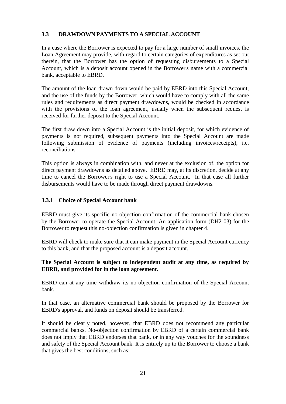# <span id="page-23-0"></span>**3.3 DRAWDOWN PAYMENTS TO A SPECIAL ACCOUNT**

In a case where the Borrower is expected to pay for a large number of small invoices, the Loan Agreement may provide, with regard to certain categories of expenditures as set out therein, that the Borrower has the option of requesting disbursements to a Special Account, which is a deposit account opened in the Borrower's name with a commercial bank, acceptable to EBRD.

The amount of the loan drawn down would be paid by EBRD into this Special Account, and the use of the funds by the Borrower, which would have to comply with all the same rules and requirements as direct payment drawdowns, would be checked in accordance with the provisions of the loan agreement, usually when the subsequent request is received for further deposit to the Special Account.

The first draw down into a Special Account is the initial deposit, for which evidence of payments is not required, subsequent payments into the Special Account are made following submission of evidence of payments (including invoices/receipts), i.e. reconciliations.

This option is always in combination with, and never at the exclusion of, the option for direct payment drawdowns as detailed above. EBRD may, at its discretion, decide at any time to cancel the Borrower's right to use a Special Account. In that case all further disbursements would have to be made through direct payment drawdowns.

#### <span id="page-23-1"></span>**3.3.1 Choice of Special Account bank**

EBRD must give its specific no-objection confirmation of the commercial bank chosen by the Borrower to operate the Special Account. An application form (DH2-03) for the Borrower to request this no-objection confirmation is given in chapter 4.

EBRD will check to make sure that it can make payment in the Special Account currency to this bank, and that the proposed account is a deposit account.

# **The Special Account is subject to independent audit at any time, as required by EBRD, and provided for in the loan agreement.**

EBRD can at any time withdraw its no-objection confirmation of the Special Account bank.

In that case, an alternative commercial bank should be proposed by the Borrower for EBRD's approval, and funds on deposit should be transferred.

It should be clearly noted, however, that EBRD does not recommend any particular commercial banks. No-objection confirmation by EBRD of a certain commercial bank does not imply that EBRD endorses that bank, or in any way vouches for the soundness and safety of the Special Account bank. It is entirely up to the Borrower to choose a bank that gives the best conditions, such as: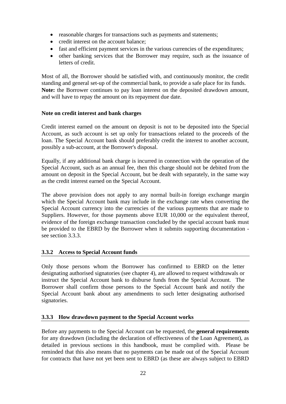- reasonable charges for transactions such as payments and statements;
- credit interest on the account balance;
- fast and efficient payment services in the various currencies of the expenditures;
- other banking services that the Borrower may require, such as the issuance of letters of credit.

Most of all, the Borrower should be satisfied with, and continuously monitor, the credit standing and general set-up of the commercial bank, to provide a safe place for its funds. **Note:** the Borrower continues to pay loan interest on the deposited drawdown amount, and will have to repay the amount on its repayment due date.

#### <span id="page-24-0"></span>**Note on credit interest and bank charges**

Credit interest earned on the amount on deposit is not to be deposited into the Special Account, as such account is set up only for transactions related to the proceeds of the loan. The Special Account bank should preferably credit the interest to another account, possibly a sub-account, at the Borrower's disposal.

Equally, if any additional bank charge is incurred in connection with the operation of the Special Account, such as an annual fee, then this charge should not be debited from the amount on deposit in the Special Account, but be dealt with separately, in the same way as the credit interest earned on the Special Account.

The above provision does not apply to any normal built-in foreign exchange margin which the Special Account bank may include in the exchange rate when converting the Special Account currency into the currencies of the various payments that are made to Suppliers. However, for those payments above EUR 10,000 or the equivalent thereof, evidence of the foreign exchange transaction concluded by the special account bank must be provided to the EBRD by the Borrower when it submits supporting documentation see section 3.3.3.

# <span id="page-24-1"></span>**3.3.2 Access to Special Account funds**

Only those persons whom the Borrower has confirmed to EBRD on the letter designating authorised signatories (see chapter 4), are allowed to request withdrawals or instruct the Special Account bank to disburse funds from the Special Account. The Borrower shall confirm those persons to the Special Account bank and notify the Special Account bank about any amendments to such letter designating authorised signatories.

# <span id="page-24-2"></span>**3.3.3 How drawdown payment to the Special Account works**

Before any payments to the Special Account can be requested, the **general requirements** for any drawdown (including the declaration of effectiveness of the Loan Agreement), as detailed in previous sections in this handbook, must be complied with. Please be reminded that this also means that no payments can be made out of the Special Account for contracts that have not yet been sent to EBRD (as these are always subject to EBRD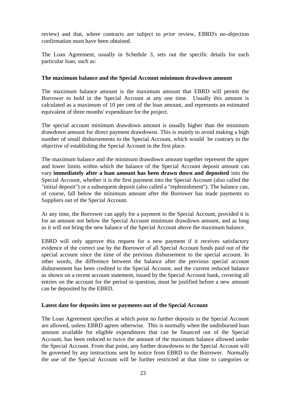review) and that, where contracts are subject to *prior* review, EBRD's no-objection confirmation must have been obtained.

The Loan Agreement, usually in Schedule 3, sets out the specific details for each particular loan, such as:

#### <span id="page-25-0"></span>**The maximum balance and the Special Account minimum drawdown amount**

The maximum balance amount is the maximum amount that EBRD will permit the Borrower to hold in the Special Account at any one time. Usually this amount is calculated as a maximum of 10 per cent of the loan amount, and represents an estimated equivalent of three months' expenditure for the project.

The special account minimum drawdown amount is usually higher than the minimum drawdown amount for direct payment drawdowns. This is mainly to avoid making a high number of small disbursements to the Special Account, which would be contrary to the objective of establishing the Special Account in the first place.

The maximum balance and the minimum drawdown amount together represent the upper and lower limits within which the balance of the Special Account deposit amount can vary **immediately after a loan amount has been drawn down and deposited** into the Special Account, whether it is the first payment into the Special Account (also called the "initial deposit") or a subsequent deposit (also called a "replenishment"). The balance can, of course, fall below the minimum amount after the Borrower has made payments to Suppliers out of the Special Account.

At any time, the Borrower can apply for a payment to the Special Account, provided it is for an amount not below the Special Account minimum drawdown amount, and as long as it will not bring the new balance of the Special Account above the maximum balance.

EBRD will only approve this request for a new payment if it receives satisfactory evidence of the correct use by the Borrower of all Special Account funds paid out of the special account since the time of the previous disbursement to the special account. In other words, the difference between the balance after the previous special account disbursement has been credited to the Special Account, and the current reduced balance as shown on a recent account statement, issued by the Special Account bank, covering all entries on the account for the period in question, must be justified before a new amount can be deposited by the EBRD.

#### <span id="page-25-1"></span>**Latest date for deposits into or payments out of the Special Account**

The Loan Agreement specifies at which point no further deposits to the Special Account are allowed, unless EBRD agrees otherwise. This is normally when the undisbursed loan amount available for eligible expenditures that can be financed out of the Special Account, has been reduced to twice the amount of the maximum balance allowed under the Special Account. From that point, any further drawdowns to the Special Account will be governed by any instructions sent by notice from EBRD to the Borrower. Normally the use of the Special Account will be further restricted at that time to categories or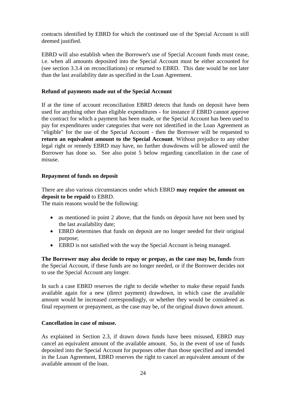contracts identified by EBRD for which the continued use of the Special Account is still deemed justified.

EBRD will also establish when the Borrower's use of Special Account funds must cease, i.e. when all amounts deposited into the Special Account must be either accounted for (see section 3.3.4 on reconciliations) or returned to EBRD. This date would be not later than the last availability date as specified in the Loan Agreement.

#### <span id="page-26-0"></span>**Refund of payments made out of the Special Account**

If at the time of account reconciliation EBRD detects that funds on deposit have been used for anything other than eligible expenditures - for instance if EBRD cannot approve the contract for which a payment has been made, or the Special Account has been used to pay for expenditures under categories that were not identified in the Loan Agreement as "eligible" for the use of the Special Account - then the Borrower will be requested to **return an equivalent amount to the Special Account**. Without prejudice to any other legal right or remedy EBRD may have, no further drawdowns will be allowed until the Borrower has done so. See also point 5 below regarding cancellation in the case of misuse.

#### <span id="page-26-1"></span>**Repayment of funds on deposit**

There are also various circumstances under which EBRD **may require the amount on deposit to be repaid** to EBRD.

The main reasons would be the following:

- as mentioned in point 2 above, that the funds on deposit have not been used by the last availability date;
- EBRD determines that funds on deposit are no longer needed for their original purpose;
- EBRD is not satisfied with the way the Special Account is being managed.

**The Borrower may also decide to repay or prepay, as the case may be, funds** from the Special Account, if these funds are no longer needed, or if the Borrower decides not to use the Special Account any longer.

In such a case EBRD reserves the right to decide whether to make these repaid funds available again for a new (direct payment) drawdown, in which case the available amount would be increased correspondingly, or whether they would be considered as final repayment or prepayment, as the case may be, of the original drawn down amount.

#### <span id="page-26-2"></span>**Cancellation in case of misuse.**

As explained in Section 2.3, if drawn down funds have been misused, EBRD may cancel an equivalent amount of the available amount. So, in the event of use of funds deposited into the Special Account for purposes other than those specified and intended in the Loan Agreement, EBRD reserves the right to cancel an equivalent amount of the available amount of the loan.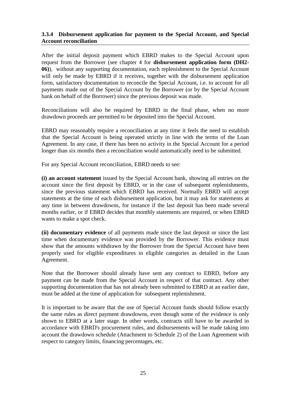#### <span id="page-27-0"></span>**3.3.4 Disbursement application for payment to the Special Account, and Special Account reconciliation**

After the initial deposit payment which EBRD makes to the Special Account upon request from the Borrower (see chapter 4 for **disbursement application form (DH2- 06)**), without any supporting documentation, each replenishment to the Special Account will only be made by EBRD if it receives, together with the disbursement application form, satisfactory documentation to reconcile the Special Account, i.e. to account for all payments made out of the Special Account by the Borrower (or by the Special Account bank on behalf of the Borrower) since the previous deposit was made.

Reconciliations will also be required by EBRD in the final phase, when no more drawdown proceeds are permitted to be deposited into the Special Account.

EBRD may reasonably require a reconciliation at any time it feels the need to establish that the Special Account is being operated strictly in line with the terms of the Loan Agreement. In any case, if there has been no activity in the Special Account for a period longer than six months then a reconciliation would automatically need to be submitted.

For any Special Account reconciliation, EBRD needs to see:

**(i) an account statement** issued by the Special Account bank, showing all entries on the account since the first deposit by EBRD, or in the case of subsequent replenishments, since the previous statement which EBRD has received. Normally EBRD will accept statements at the time of each disbursement application, but it may ask for statements at any time in between drawdowns, for instance if the last deposit has been made several months earlier, or if EBRD decides that monthly statements are required, or when EBRD wants to make a spot check.

**(ii) documentary evidence** of all payments made since the last deposit or since the last time when documentary evidence was provided by the Borrower. This evidence must show that the amounts withdrawn by the Borrower from the Special Account have been properly used for eligible expenditures in eligible categories as detailed in the Loan Agreement.

Note that the Borrower should already have sent any contract to EBRD, before any payment can be made from the Special Account in respect of that contract. Any other supporting documentation that has not already been submitted to EBRD at an earlier date, must be added at the time of application for subsequent replenishment.

It is important to be aware that the use of Special Account funds should follow exactly the same rules as direct payment drawdowns, even though some of the evidence is only shown to EBRD at a later stage. In other words, contracts still have to be awarded in accordance with EBRD's procurement rules, and disbursements will be made taking into account the drawdown schedule (Attachment to Schedule 2) of the Loan Agreement with respect to category limits, financing percentages, etc.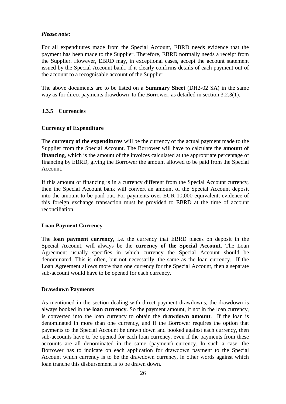#### *Please note:*

For all expenditures made from the Special Account, EBRD needs evidence that the payment has been made to the Supplier. Therefore, EBRD normally needs a receipt from the Supplier. However, EBRD may, in exceptional cases, accept the account statement issued by the Special Account bank, if it clearly confirms details of each payment out of the account to a recognisable account of the Supplier.

The above documents are to be listed on a **Summary Sheet** (DH2-02 SA) in the same way as for direct payments drawdown to the Borrower, as detailed in section 3.2.3(1).

# <span id="page-28-0"></span>**3.3.5 Currencies**

#### <span id="page-28-1"></span>**Currency of Expenditure**

The **currency of the expenditures** will be the currency of the actual payment made to the Supplier from the Special Account. The Borrower will have to calculate the **amount of financing**, which is the amount of the invoices calculated at the appropriate percentage of financing by EBRD, giving the Borrower the amount allowed to be paid from the Special Account.

If this amount of financing is in a currency different from the Special Account currency, then the Special Account bank will convert an amount of the Special Account deposit into the amount to be paid out. For payments over EUR 10,000 equivalent, evidence of this foreign exchange transaction must be provided to EBRD at the time of account reconciliation.

#### <span id="page-28-2"></span>**Loan Payment Currency**

The **loan payment currency**, i.e. the currency that EBRD places on deposit in the Special Account, will always be the **currency of the Special Account**. The Loan Agreement usually specifies in which currency the Special Account should be denominated. This is often, but not necessarily, the same as the loan currency. If the Loan Agreement allows more than one currency for the Special Account, then a separate sub-account would have to be opened for each currency.

#### <span id="page-28-3"></span>**Drawdown Payments**

As mentioned in the section dealing with direct payment drawdowns, the drawdown is always booked in the **loan currency**. So the payment amount, if not in the loan currency, is converted into the loan currency to obtain the **drawdown amount**. If the loan is denominated in more than one currency, and if the Borrower requires the option that payments to the Special Account be drawn down and booked against each currency, then sub-accounts have to be opened for each loan currency, even if the payments from these accounts are all denominated in the same (payment) currency. In such a case, the Borrower has to indicate on each application for drawdown payment to the Special Account which currency is to be the drawdown currency, in other words against which loan tranche this disbursement is to be drawn down.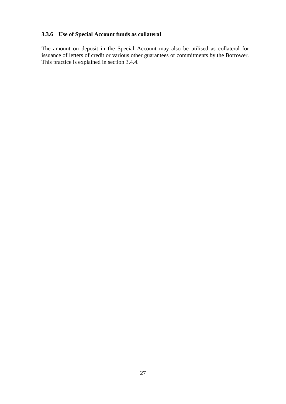<span id="page-29-0"></span>The amount on deposit in the Special Account may also be utilised as collateral for issuance of letters of credit or various other guarantees or commitments by the Borrower. This practice is explained in section 3.4.4.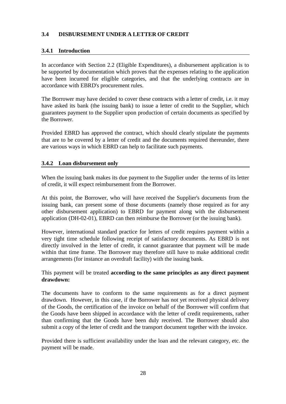# <span id="page-30-0"></span>**3.4 DISBURSEMENT UNDER A LETTER OF CREDIT**

# <span id="page-30-1"></span>**3.4.1 Introduction**

In accordance with Section 2.2 (Eligible Expenditures), a disbursement application is to be supported by documentation which proves that the expenses relating to the application have been incurred for eligible categories, and that the underlying contracts are in accordance with EBRD's procurement rules.

The Borrower may have decided to cover these contracts with a letter of credit, i.e. it may have asked its bank (the issuing bank) to issue a letter of credit to the Supplier, which guarantees payment to the Supplier upon production of certain documents as specified by the Borrower.

Provided EBRD has approved the contract, which should clearly stipulate the payments that are to be covered by a letter of credit and the documents required thereunder, there are various ways in which EBRD can help to facilitate such payments.

#### <span id="page-30-2"></span>**3.4.2 Loan disbursement only**

When the issuing bank makes its due payment to the Supplier under the terms of its letter of credit, it will expect reimbursement from the Borrower.

At this point, the Borrower, who will have received the Supplier's documents from the issuing bank, can present some of those documents (namely those required as for any other disbursement application) to EBRD for payment along with the disbursement application (DH-02-01), EBRD can then reimburse the Borrower (or the issuing bank).

However, international standard practice for letters of credit requires payment within a very tight time schedule following receipt of satisfactory documents. As EBRD is not directly involved in the letter of credit, it cannot guarantee that payment will be made within that time frame. The Borrower may therefore still have to make additional credit arrangements (for instance an overdraft facility) with the issuing bank.

This payment will be treated **according to the same principles as any direct payment drawdown:**

The documents have to conform to the same requirements as for a direct payment drawdown. However, in this case, if the Borrower has not yet received physical delivery of the Goods, the certification of the invoice on behalf of the Borrower will confirm that the Goods have been shipped in accordance with the letter of credit requirements, rather than confirming that the Goods have been duly received. The Borrower should also submit a copy of the letter of credit and the transport document together with the invoice.

Provided there is sufficient availability under the loan and the relevant category, etc. the payment will be made.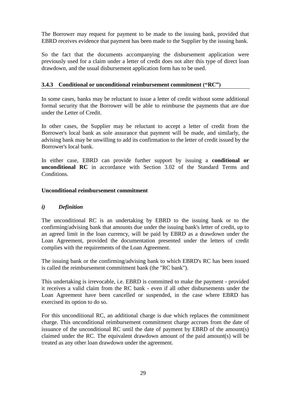The Borrower may request for payment to be made to the issuing bank, provided that EBRD receives evidence that payment has been made to the Supplier by the issuing bank.

So the fact that the documents accompanying the disbursement application were previously used for a claim under a letter of credit does not alter this type of direct loan drawdown, and the usual disbursement application form has to be used.

# <span id="page-31-0"></span>**3.4.3 Conditional or unconditional reimbursement commitment ("RC")**

In some cases, banks may be reluctant to issue a letter of credit without some additional formal security that the Borrower will be able to reimburse the payments that are due under the Letter of Credit.

In other cases, the Supplier may be reluctant to accept a letter of credit from the Borrower's local bank as sole assurance that payment will be made, and similarly, the advising bank may be unwilling to add its confirmation to the letter of credit issued by the Borrower's local bank.

In either case, EBRD can provide further support by issuing a **conditional or unconditional RC** in accordance with Section 3.02 of the Standard Terms and Conditions.

#### <span id="page-31-1"></span>**Unconditional reimbursement commitment**

#### <span id="page-31-2"></span>*i) Definition*

The unconditional RC is an undertaking by EBRD to the issuing bank or to the confirming/advising bank that amounts due under the issuing bank's letter of credit, up to an agreed limit in the loan currency, will be paid by EBRD as a drawdown under the Loan Agreement, provided the documentation presented under the letters of credit complies with the requirements of the Loan Agreement.

The issuing bank or the confirming/advising bank to which EBRD's RC has been issued is called the reimbursement commitment bank (the "RC bank").

This undertaking is irrevocable, i.e. EBRD is committed to make the payment - provided it receives a valid claim from the RC bank - even if all other disbursements under the Loan Agreement have been cancelled or suspended, in the case where EBRD has exercised its option to do so.

For this unconditional RC, an additional charge is due which replaces the commitment charge. This unconditional reimbursement commitment charge accrues from the date of issuance of the unconditional RC until the date of payment by EBRD of the amount(s) claimed under the RC. The equivalent drawdown amount of the paid amount(s) will be treated as any other loan drawdown under the agreement.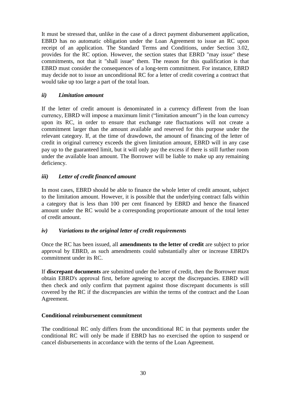It must be stressed that, unlike in the case of a direct payment disbursement application, EBRD has no automatic obligation under the Loan Agreement to issue an RC upon receipt of an application. The Standard Terms and Conditions, under Section 3.02, provides for the RC option. However, the section states that EBRD "may issue" these commitments, not that it "shall issue" them. The reason for this qualification is that EBRD must consider the consequences of a long-term commitment. For instance, EBRD may decide not to issue an unconditional RC for a letter of credit covering a contract that would take up too large a part of the total loan.

# <span id="page-32-0"></span>*ii) Limitation amount*

If the letter of credit amount is denominated in a currency different from the loan currency, EBRD will impose a maximum limit ("limitation amount") in the loan currency upon its RC, in order to ensure that exchange rate fluctuations will not create a commitment larger than the amount available and reserved for this purpose under the relevant category. If, at the time of drawdown, the amount of financing of the letter of credit in original currency exceeds the given limitation amount, EBRD will in any case pay up to the guaranteed limit, but it will only pay the excess if there is still further room under the available loan amount. The Borrower will be liable to make up any remaining deficiency.

#### <span id="page-32-1"></span>*iii) Letter of credit financed amount*

In most cases, EBRD should be able to finance the whole letter of credit amount, subject to the limitation amount. However, it is possible that the underlying contract falls within a category that is less than 100 per cent financed by EBRD and hence the financed amount under the RC would be a corresponding proportionate amount of the total letter of credit amount.

#### <span id="page-32-2"></span>*iv) Variations to the original letter of credit requirements*

Once the RC has been issued, all **amendments to the letter of credit** are subject to prior approval by EBRD, as such amendments could substantially alter or increase EBRD's commitment under its RC.

If **discrepant documents** are submitted under the letter of credit, then the Borrower must obtain EBRD's approval first, before agreeing to accept the discrepancies. EBRD will then check and only confirm that payment against those discrepant documents is still covered by the RC if the discrepancies are within the terms of the contract and the Loan Agreement.

#### <span id="page-32-3"></span>**Conditional reimbursement commitment**

The conditional RC only differs from the unconditional RC in that payments under the conditional RC will only be made if EBRD has no exercised the option to suspend or cancel disbursements in accordance with the terms of the Loan Agreement.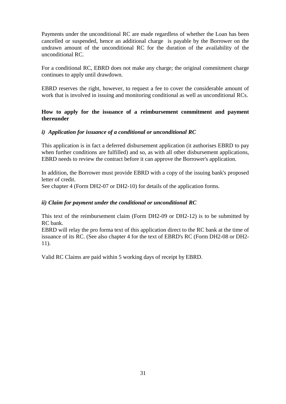Payments under the unconditional RC are made regardless of whether the Loan has been cancelled or suspended, hence an additional charge is payable by the Borrower on the undrawn amount of the unconditional RC for the duration of the availability of the unconditional RC.

For a conditional RC, EBRD does not make any charge; the original commitment charge continues to apply until drawdown.

EBRD reserves the right, however, to request a fee to cover the considerable amount of work that is involved in issuing and monitoring conditional as well as unconditional RCs.

#### <span id="page-33-0"></span>**How to apply for the issuance of a reimbursement commitment and payment thereunder**

#### <span id="page-33-1"></span>*i) Application for issuance of a conditional or unconditional RC*

This application is in fact a deferred disbursement application (it authorises EBRD to pay when further conditions are fulfilled) and so, as with all other disbursement applications, EBRD needs to review the contract before it can approve the Borrower's application.

In addition, the Borrower must provide EBRD with a copy of the issuing bank's proposed letter of credit.

See chapter 4 (Form DH2-07 or DH2-10) for details of the application forms.

#### <span id="page-33-2"></span>*ii) Claim for payment under the conditional or unconditional RC*

This text of the reimbursement claim (Form DH2-09 or DH2-12) is to be submitted by RC bank.

EBRD will relay the pro forma text of this application direct to the RC bank at the time of issuance of its RC. (See also chapter 4 for the text of EBRD's RC (Form DH2-08 or DH2- 11).

Valid RC Claims are paid within 5 working days of receipt by EBRD.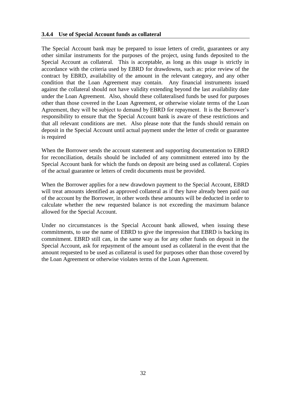#### <span id="page-34-0"></span>**3.4.4 Use of Special Account funds as collateral**

The Special Account bank may be prepared to issue letters of credit, guarantees or any other similar instruments for the purposes of the project, using funds deposited to the Special Account as collateral. This is acceptable, as long as this usage is strictly in accordance with the criteria used by EBRD for drawdowns, such as: prior review of the contract by EBRD, availability of the amount in the relevant category, and any other condition that the Loan Agreement may contain. Any financial instruments issued against the collateral should not have validity extending beyond the last availability date under the Loan Agreement. Also, should these collateralised funds be used for purposes other than those covered in the Loan Agreement, or otherwise violate terms of the Loan Agreement, they will be subject to demand by EBRD for repayment. It is the Borrower's responsibility to ensure that the Special Account bank is aware of these restrictions and that all relevant conditions are met. Also please note that the funds should remain on deposit in the Special Account until actual payment under the letter of credit or guarantee is required

When the Borrower sends the account statement and supporting documentation to EBRD for reconciliation, details should be included of any commitment entered into by the Special Account bank for which the funds on deposit are being used as collateral. Copies of the actual guarantee or letters of credit documents must be provided.

When the Borrower applies for a new drawdown payment to the Special Account, EBRD will treat amounts identified as approved collateral as if they have already been paid out of the account by the Borrower, in other words these amounts will be deducted in order to calculate whether the new requested balance is not exceeding the maximum balance allowed for the Special Account.

Under no circumstances is the Special Account bank allowed, when issuing these commitments, to use the name of EBRD to give the impression that EBRD is backing its commitment. EBRD still can, in the same way as for any other funds on deposit in the Special Account, ask for repayment of the amount used as collateral in the event that the amount requested to be used as collateral is used for purposes other than those covered by the Loan Agreement or otherwise violates terms of the Loan Agreement.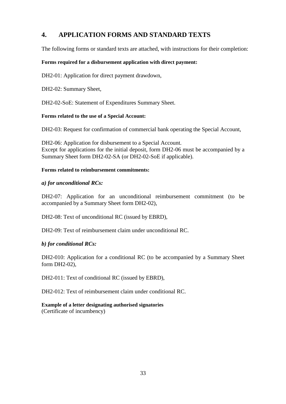# <span id="page-35-0"></span>**4. APPLICATION FORMS AND STANDARD TEXTS**

The following forms or standard texts are attached, with instructions for their completion:

#### **Forms required for a disbursement application with direct payment:**

DH2-01: Application for direct payment drawdown,

DH2-02: Summary Sheet,

DH2-02-SoE: Statement of Expenditures Summary Sheet.

#### **Forms related to the use of a Special Account:**

DH2-03: Request for confirmation of commercial bank operating the Special Account,

DH2-06: Application for disbursement to a Special Account. Except for applications for the initial deposit, form DH2-06 must be accompanied by a Summary Sheet form DH2-02-SA (or DH2-02-SoE if applicable).

#### **Forms related to reimbursement commitments:**

#### *a) for unconditional RCs:*

DH2-07: Application for an unconditional reimbursement commitment (to be accompanied by a Summary Sheet form DH2-02),

DH2-08: Text of unconditional RC (issued by EBRD),

DH2-09: Text of reimbursement claim under unconditional RC.

# *b) for conditional RCs:*

DH2-010: Application for a conditional RC (to be accompanied by a Summary Sheet form DH2-02),

DH2-011: Text of conditional RC (issued by EBRD),

DH2-012: Text of reimbursement claim under conditional RC.

#### **Example of a letter designating authorised signatories** (Certificate of incumbency)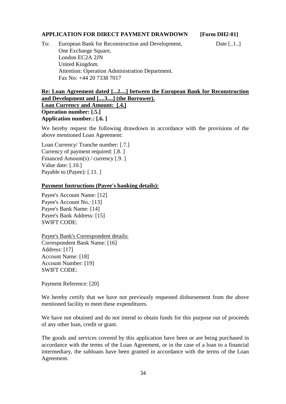## **APPLICATION FOR DIRECT PAYMENT DRAWDOWN [Form DH2-01]**

To: European Bank for Reconstruction and Development, Date [...1..] One Exchange Square, London EC2A 2JN United Kingdom. Attention: Operation Administration Department. Fax No: +44 20 7338 7017

# **Re: Loan Agreement dated [...2....] between the European Bank for Reconstruction and Development and [....3....] (the Borrower). Loan Currency and Amount: [.4.] Operation number: [.5.] Application number.: [.6. ]**

We hereby request the following drawdown in accordance with the provisions of the above mentioned Loan Agreement:

Loan Currency/ Tranche number: [.7.] Currency of payment required: [.8. ] Financed Amount(s) / currency [.9. ] Value date: [.10.] Payable to (Payee): [.11. ]

#### **Payment Instructions (Payee's banking details):**

Payee's Account Name: [12] Payee's Account No.: [13] Payee's Bank Name: [14] Payee's Bank Address: [15] SWIFT CODE:

Payee's Bank's Correspondent details: Correspondent Bank Name: [16] Address: [17] Account Name: [18] Account Number: [19] SWIFT CODE:

Payment Reference: [20]

We hereby certify that we have not previously requested disbursement from the above mentioned facility to meet these expenditures.

We have not obtained and do not intend to obtain funds for this purpose out of proceeds of any other loan, credit or grant.

The goods and services covered by this application have been or are being purchased in accordance with the terms of the Loan Agreement, or in the case of a loan to a financial intermediary, the subloans have been granted in accordance with the terms of the Loan Agreement.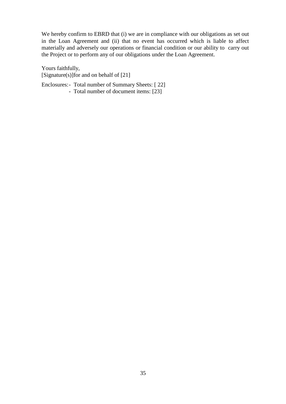We hereby confirm to EBRD that (i) we are in compliance with our obligations as set out in the Loan Agreement and (ii) that no event has occurred which is liable to affect materially and adversely our operations or financial condition or our ability to carry out the Project or to perform any of our obligations under the Loan Agreement.

Yours faithfully, [Signature(s)]for and on behalf of [21]

Enclosures:- Total number of Summary Sheets: [ 22] - Total number of document items: [23]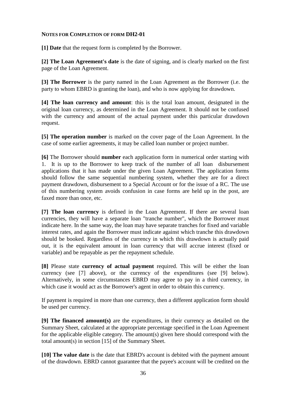#### **NOTES FOR COMPLETION OF FORM DH2-01**

**[1] Date** that the request form is completed by the Borrower.

**[2] The Loan Agreement's date** is the date of signing, and is clearly marked on the first page of the Loan Agreement.

**[3] The Borrower** is the party named in the Loan Agreement as the Borrower (i.e. the party to whom EBRD is granting the loan), and who is now applying for drawdown.

**[4] The loan currency and amount**: this is the total loan amount, designated in the original loan currency, as determined in the Loan Agreement. It should not be confused with the currency and amount of the actual payment under this particular drawdown request.

**[5] The operation number** is marked on the cover page of the Loan Agreement. In the case of some earlier agreements, it may be called loan number or project number.

**[6]** The Borrower should **number** each application form in numerical order starting with 1. It is up to the Borrower to keep track of the number of all loan disbursement applications that it has made under the given Loan Agreement. The application forms should follow the same sequential numbering system, whether they are for a direct payment drawdown, disbursement to a Special Account or for the issue of a RC. The use of this numbering system avoids confusion in case forms are held up in the post, are faxed more than once, etc.

**[7] The loan currency** is defined in the Loan Agreement. If there are several loan currencies, they will have a separate loan "tranche number", which the Borrower must indicate here. In the same way, the loan may have separate tranches for fixed and variable interest rates, and again the Borrower must indicate against which tranche this drawdown should be booked. Regardless of the currency in which this drawdown is actually paid out, it is the equivalent amount in loan currency that will accrue interest (fixed or variable) and be repayable as per the repayment schedule.

**[8]** Please state **currency of actual payment** required. This will be either the loan currency (see [7] above), or the currency of the expenditures (see [9] below). Alternatively, in some circumstances EBRD may agree to pay in a third currency, in which case it would act as the Borrower's agent in order to obtain this currency.

If payment is required in more than one currency, then a different application form should be used per currency.

**[9] The financed amount(s)** are the expenditures, in their currency as detailed on the Summary Sheet, calculated at the appropriate percentage specified in the Loan Agreement for the applicable eligible category. The amount(s) given here should correspond with the total amount(s) in section [15] of the Summary Sheet.

**[10] The value date** is the date that EBRD's account is debited with the payment amount of the drawdown. EBRD cannot guarantee that the payee's account will be credited on the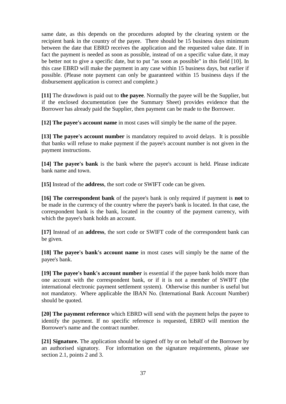same date, as this depends on the procedures adopted by the clearing system or the recipient bank in the country of the payee. There should be 15 business days minimum between the date that EBRD receives the application and the requested value date. If in fact the payment is needed as soon as possible, instead of on a specific value date, it may be better not to give a specific date, but to put "as soon as possible" in this field [10]. In this case EBRD will make the payment in any case within 15 business days, but earlier if possible. (Please note payment can only be guaranteed within 15 business days if the disbursement application is correct and complete.)

**[11]** The drawdown is paid out to **the payee**. Normally the payee will be the Supplier, but if the enclosed documentation (see the Summary Sheet) provides evidence that the Borrower has already paid the Supplier, then payment can be made to the Borrower.

**[12] The payee's account name** in most cases will simply be the name of the payee.

**[13] The payee's account number** is mandatory required to avoid delays. It is possible that banks will refuse to make payment if the payee's account number is not given in the payment instructions.

**[14] The payee's bank** is the bank where the payee's account is held. Please indicate bank name and town.

**[15]** Instead of the **address**, the sort code or SWIFT code can be given.

**[16] The correspondent bank** of the payee's bank is only required if payment is **not** to be made in the currency of the country where the payee's bank is located. In that case, the correspondent bank is the bank, located in the country of the payment currency, with which the payee's bank holds an account.

**[17]** Instead of an **address**, the sort code or SWIFT code of the correspondent bank can be given.

**[18] The payee's bank's account name** in most cases will simply be the name of the payee's bank.

**[19] The payee's bank's account number** is essential if the payee bank holds more than one account with the correspondent bank, or if it is not a member of SWIFT (the international electronic payment settlement system). Otherwise this number is useful but not mandatory. Where applicable the IBAN No. (International Bank Account Number) should be quoted.

**[20] The payment reference** which EBRD will send with the payment helps the payee to identify the payment. If no specific reference is requested, EBRD will mention the Borrower's name and the contract number.

**[21] Signature.** The application should be signed off by or on behalf of the Borrower by an authorised signatory. For information on the signature requirements, please see section 2.1, points 2 and 3.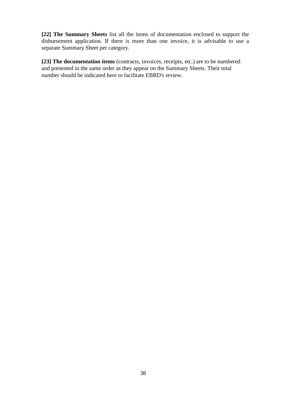**[22] The Summary Sheets** list all the items of documentation enclosed to support the disbursement application. If there is more than one invoice, it is advisable to use a separate Summary Sheet per category.

**[23] The documentation items** (contracts, invoices*,* receipts, etc.) are to be numbered and presented in the same order as they appear on the Summary Sheets. Their total number should be indicated here to facilitate EBRD's review.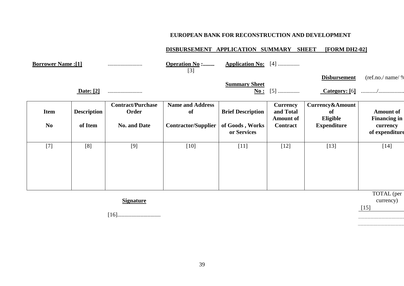# **EUROPEAN BANK FOR RECONSTRUCTION AND DEVELOPMENT**

# **DISBURSEMENT APPLICATION SUMMARY SHEET [FORM DH2-02]**

| <b>Borrower Name:[1]</b> |                    |                                   | <b>Operation No :</b><br>$[3]$ | <b>Application No:</b> [4]                        |                                                  |                                   |                                         |  |
|--------------------------|--------------------|-----------------------------------|--------------------------------|---------------------------------------------------|--------------------------------------------------|-----------------------------------|-----------------------------------------|--|
|                          |                    |                                   |                                |                                                   |                                                  | <b>Disbursement</b>               | (ref.no./ name/ %                       |  |
|                          | Date: [2]          |                                   |                                | <b>Summary Sheet</b>                              | <b><u>No:</u></b> [5]                            | Category: [6]                     |                                         |  |
| <b>Item</b>              | <b>Description</b> | <b>Contract/Purchase</b><br>Order | <b>Name and Address</b><br>of  | <b>Brief Description</b>                          | <b>Currency</b><br>and Total<br><b>Amount of</b> | Currency&Amount<br>of<br>Eligible | <b>Amount of</b><br><b>Financing in</b> |  |
| N <sub>0</sub>           | of Item            | <b>No. and Date</b>               | <b>Contractor/Supplier</b>     | of Goods, Works<br><b>Contract</b><br>or Services |                                                  | <b>Expenditure</b>                | currency<br>of expenditure              |  |
| $[7]$                    | [8]                | [9]                               | $[10]$                         | $[11]$                                            | $[12]$                                           | $[13]$                            | $[14]$                                  |  |
|                          |                    | <b>Signature</b>                  |                                |                                                   |                                                  |                                   | TOTAL (per<br>currency)<br>$[15]$       |  |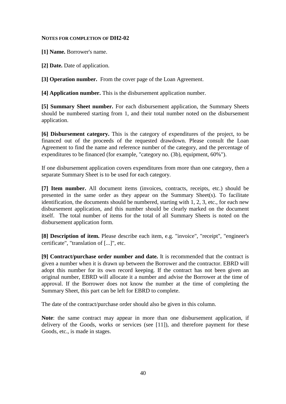#### **NOTES FOR COMPLETION OF DH2-02**

**[1] Name.** Borrower's name.

**[2] Date.** Date of application.

**[3] Operation number.** From the cover page of the Loan Agreement.

**[4] Application number.** This is the disbursement application number.

**[5] Summary Sheet number.** For each disbursement application, the Summary Sheets should be numbered starting from 1, and their total number noted on the disbursement application.

**[6] Disbursement category.** This is the category of expenditures of the project, to be financed out of the proceeds of the requested drawdown. Please consult the Loan Agreement to find the name and reference number of the category, and the percentage of expenditures to be financed (for example, "category no. (3b), equipment, 60%").

If one disbursement application covers expenditures from more than one category, then a separate Summary Sheet is to be used for each category.

**[7] Item number.** All document items (invoices, contracts, receipts, etc.) should be presented in the same order as they appear on the Summary Sheet(s). To facilitate identification, the documents should be numbered, starting with 1, 2, 3, etc., for each new disbursement application, and this number should be clearly marked on the document itself. The total number of items for the total of all Summary Sheets is noted on the disbursement application form.

**[8] Description of item.** Please describe each item, e.g. "invoice", "receipt", "engineer's certificate", "translation of [...]", etc.

**[9] Contract/purchase order number and date.** It is recommended that the contract is given a number when it is drawn up between the Borrower and the contractor. EBRD will adopt this number for its own record keeping. If the contract has not been given an original number, EBRD will allocate it a number and advise the Borrower at the time of approval. If the Borrower does not know the number at the time of completing the Summary Sheet, this part can be left for EBRD to complete.

The date of the contract/purchase order should also be given in this column.

**Note**: the same contract may appear in more than one disbursement application, if delivery of the Goods, works or services (see [11]), and therefore payment for these Goods, etc., is made in stages.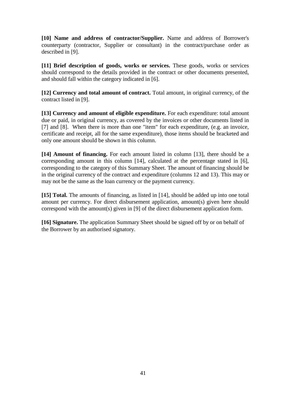**[10] Name and address of contractor/Supplier.** Name and address of Borrower's counterparty (contractor, Supplier or consultant) in the contract/purchase order as described in [9].

**[11] Brief description of goods, works or services.** These goods, works or services should correspond to the details provided in the contract or other documents presented, and should fall within the category indicated in [6].

**[12] Currency and total amount of contract.** Total amount, in original currency, of the contract listed in [9].

**[13] Currency and amount of eligible expenditure.** For each expenditure: total amount due or paid, in original currency, as covered by the invoices or other documents listed in [7] and [8]. When there is more than one "item" for each expenditure, (e.g. an invoice, certificate and receipt, all for the same expenditure), those items should be bracketed and only one amount should be shown in this column.

**[14] Amount of financing.** For each amount listed in column [13], there should be a corresponding amount in this column [14], calculated at the percentage stated in [6], corresponding to the category of this Summary Sheet. The amount of financing should be in the original currency of the contract and expenditure (columns 12 and 13). This may or may not be the same as the loan currency or the payment currency.

**[15] Total.** The amounts of financing, as listed in [14], should be added up into one total amount per currency. For direct disbursement application, amount(s) given here should correspond with the amount(s) given in [9] of the direct disbursement application form.

**[16] Signature.** The application Summary Sheet should be signed off by or on behalf of the Borrower by an authorised signatory.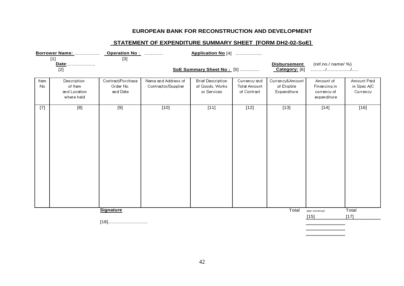# **EUROPEAN BANK FOR RECONSTRUCTION AND DEVELOPMENT**

# **STATEMENT OF EXPENDITURE SUMMARY SHEET [FORM DH2-02-SoE]**

|                         |                                                      |                                            |                                            | Application No [4]                                         |                                                    |                                               |                                                         |                                        |  |
|-------------------------|------------------------------------------------------|--------------------------------------------|--------------------------------------------|------------------------------------------------------------|----------------------------------------------------|-----------------------------------------------|---------------------------------------------------------|----------------------------------------|--|
| $[1]$<br>Date:<br>$[2]$ |                                                      | $\boxed{3}$                                | SoE Summary Sheet No: [5]                  |                                                            |                                                    | <b>Disbursement</b><br>Category: [6]          | (ref.no./ name/ %)                                      |                                        |  |
| Item<br>No              | Description<br>of Item<br>and Location<br>where held | Contract/Purchase<br>Order No.<br>and Date | Name and Address of<br>Contractor/Supplier | <b>Brief Description</b><br>of Goods, Works<br>or Services | Currency and<br><b>Total Amount</b><br>of Contract | Currency&Amount<br>of Eligible<br>Expenditure | Amount of<br>Financing in<br>currency of<br>expenditure | Amount Paid<br>in Spec A/C<br>Currency |  |
| $[7]$                   | [8]                                                  | $[9]$                                      | $[10]$                                     | $[11]$                                                     | $[12]$                                             | $[13]$                                        | $[14]$                                                  | $[16]$                                 |  |
|                         |                                                      | <b>Signature</b>                           |                                            |                                                            |                                                    | Total                                         | (per currency)<br>$[15]$                                | Total<br>$[17]$                        |  |
|                         |                                                      |                                            |                                            |                                                            |                                                    |                                               |                                                         |                                        |  |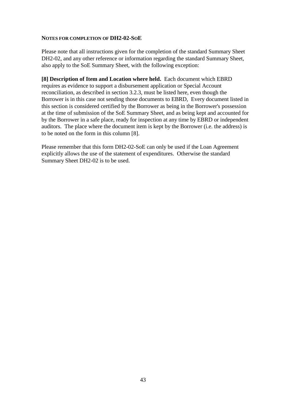#### **NOTES FOR COMPLETION OF DH2-02-SOE**

Please note that all instructions given for the completion of the standard Summary Sheet DH2-02, and any other reference or information regarding the standard Summary Sheet, also apply to the SoE Summary Sheet, with the following exception:

**[8] Description of Item and Location where held.** Each document which EBRD requires as evidence to support a disbursement application or Special Account reconciliation, as described in section 3.2.3, must be listed here, even though the Borrower is in this case not sending those documents to EBRD, Every document listed in this section is considered certified by the Borrower as being in the Borrower's possession at the time of submission of the SoE Summary Sheet, and as being kept and accounted for by the Borrower in a safe place, ready for inspection at any time by EBRD or independent auditors. The place where the document item is kept by the Borrower (i.e. the address) is to be noted on the form in this column [8].

Please remember that this form DH2-02-SoE can only be used if the Loan Agreement explicitly allows the use of the statement of expenditures. Otherwise the standard Summary Sheet DH2-02 is to be used.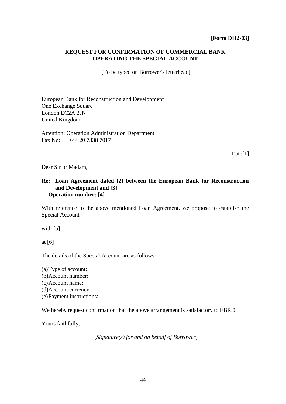## **REQUEST FOR CONFIRMATION OF COMMERCIAL BANK OPERATING THE SPECIAL ACCOUNT**

[To be typed on Borrower's letterhead]

European Bank for Reconstruction and Development One Exchange Square London EC2A 2JN United Kingdom

Attention: Operation Administration Department Fax No: +44 20 7338 7017

Date[1]

Dear Sir or Madam,

## **Re: Loan Agreement dated [2] between the European Bank for Reconstruction and Development and [3] Operation number: [4]**

With reference to the above mentioned Loan Agreement, we propose to establish the Special Account

with [5]

at [6]

The details of the Special Account are as follows:

(a)Type of account: (b)Account number: (c)Account name: (d)Account currency: (e)Payment instructions:

We hereby request confirmation that the above arrangement is satisfactory to EBRD.

Yours faithfully,

[*Signature(s) for and on behalf of Borrower*]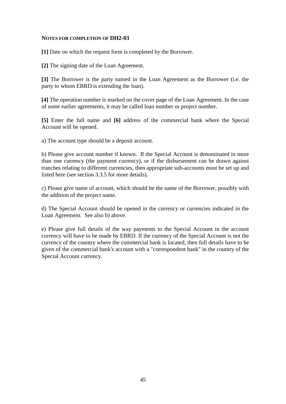#### **NOTES FOR COMPLETION OF DH2-03**

**[1]** Date on which the request form is completed by the Borrower.

**[2]** The signing date of the Loan Agreement.

**[3]** The Borrower is the party named in the Loan Agreement as the Borrower (i.e. the party to whom EBRD is extending the loan).

**[4]** The operation number is marked on the cover page of the Loan Agreement. In the case of some earlier agreements, it may be called loan number or project number.

**[5]** Enter the full name and **[6]** address of the commercial bank where the Special Account will be opened.

a) The account type should be a deposit account.

b) Please give account number if known. If the Special Account is denominated in more than one currency (the payment currency), or if the disbursement can be drawn against tranches relating to different currencies, then appropriate sub-accounts must be set up and listed here (see section 3.3.5 for more details).

c) Please give name of account, which should be the name of the Borrower, possibly with the addition of the project name.

d) The Special Account should be opened in the currency or currencies indicated in the Loan Agreement. See also b) above.

e) Please give full details of the way payments to the Special Account in the account currency will have to be made by EBRD. If the currency of the Special Account is not the currency of the country where the commercial bank is located, then full details have to be given of the commercial bank's account with a "correspondent bank" in the country of the Special Account currency.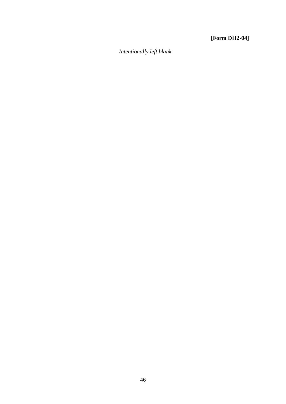# **[Form DH2-04]**

*Intentionally left blank*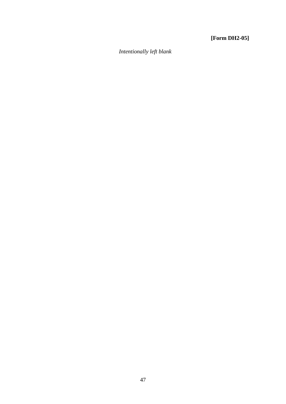# **[Form DH2-05]**

*Intentionally left blank*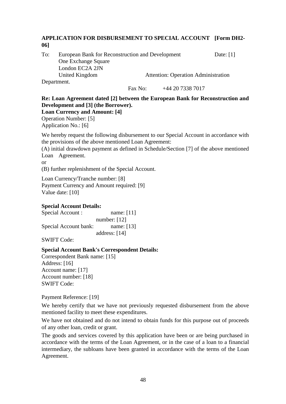# **APPLICATION FOR DISBURSEMENT TO SPECIAL ACCOUNT [Form DH2- 06]**

To: European Bank for Reconstruction and Development Date: [1] One Exchange Square London EC2A 2JN United Kingdom Attention: Operation Administration Department.

Fax No:  $+442073387017$ 

**Re: Loan Agreement dated [2] between the European Bank for Reconstruction and Development and [3] (the Borrower).**

## **Loan Currency and Amount: [4]**

Operation Number: [5] Application No.: [6]

We hereby request the following disbursement to our Special Account in accordance with the provisions of the above mentioned Loan Agreement:

(A) initial drawdown payment as defined in Schedule/Section [7] of the above mentioned Loan Agreement.

or

(B) further replenishment of the Special Account.

Loan Currency/Tranche number: [8] Payment Currency and Amount required: [9] Value date: [10]

# **Special Account Details:**

| Special Account :     | name: $[11]$    |
|-----------------------|-----------------|
|                       | number: $[12]$  |
| Special Account bank: | name: $[13]$    |
|                       | address: $[14]$ |

SWIFT Code:

# **Special Account Bank's Correspondent Details:**

Correspondent Bank name: [15] Address: [16] Account name: [17] Account number: [18] SWIFT Code:

Payment Reference: [19]

We hereby certify that we have not previously requested disbursement from the above mentioned facility to meet these expenditures.

We have not obtained and do not intend to obtain funds for this purpose out of proceeds of any other loan, credit or grant.

The goods and services covered by this application have been or are being purchased in accordance with the terms of the Loan Agreement, or in the case of a loan to a financial intermediary, the subloans have been granted in accordance with the terms of the Loan Agreement.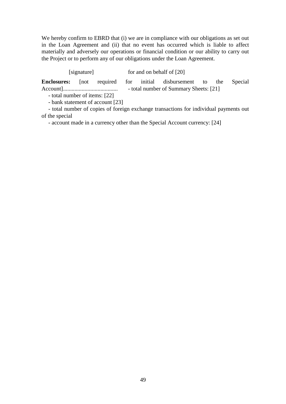We hereby confirm to EBRD that (i) we are in compliance with our obligations as set out in the Loan Agreement and (ii) that no event has occurred which is liable to affect materially and adversely our operations or financial condition or our ability to carry out the Project or to perform any of our obligations under the Loan Agreement.

[signature] for and on behalf of [20]

**Enclosures:** [not required for initial disbursement to the Special Account]...................................... - total number of Summary Sheets: [21]

- total number of items: [22]

- bank statement of account [23]

- total number of copies of foreign exchange transactions for individual payments out of the special

- account made in a currency other than the Special Account currency: [24]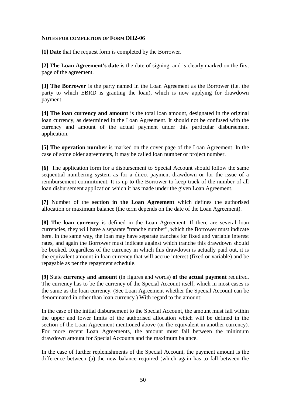#### **NOTES FOR COMPLETION OF FORM DH2-06**

**[1] Date** that the request form is completed by the Borrower.

**[2] The Loan Agreement's date** is the date of signing, and is clearly marked on the first page of the agreement.

**[3] The Borrower** is the party named in the Loan Agreement as the Borrower (i.e. the party to which EBRD is granting the loan), which is now applying for drawdown payment.

**[4] The loan currency and amount** is the total loan amount, designated in the original loan currency, as determined in the Loan Agreement. It should not be confused with the currency and amount of the actual payment under this particular disbursement application.

**[5] The operation number** is marked on the cover page of the Loan Agreement. In the case of some older agreements, it may be called loan number or project number.

**[6]** The application form for a disbursement to Special Account should follow the same sequential numbering system as for a direct payment drawdown or for the issue of a reimbursement commitment. It is up to the Borrower to keep track of the number of all loan disbursement application which it has made under the given Loan Agreement.

**[7]** Number of the **section in the Loan Agreement** which defines the authorised allocation or maximum balance (the term depends on the date of the Loan Agreement).

**[8] The loan currency** is defined in the Loan Agreement. If there are several loan currencies, they will have a separate "tranche number", which the Borrower must indicate here. In the same way, the loan may have separate tranches for fixed and variable interest rates, and again the Borrower must indicate against which tranche this drawdown should be booked. Regardless of the currency in which this drawdown is actually paid out, it is the equivalent amount in loan currency that will accrue interest (fixed or variable) and be repayable as per the repayment schedule.

**[9]** State **currency and amount** (in figures and words) **of the actual payment** required. The currency has to be the currency of the Special Account itself, which in most cases is the same as the loan currency. (See Loan Agreement whether the Special Account can be denominated in other than loan currency.) With regard to the amount:

In the case of the initial disbursement to the Special Account, the amount must fall within the upper and lower limits of the authorised allocation which will be defined in the section of the Loan Agreement mentioned above (or the equivalent in another currency). For more recent Loan Agreements, the amount must fall between the minimum drawdown amount for Special Accounts and the maximum balance.

In the case of further replenishments of the Special Account, the payment amount is the difference between (a) the new balance required (which again has to fall between the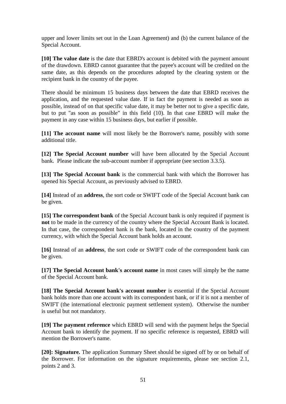upper and lower limits set out in the Loan Agreement) and (b) the current balance of the Special Account.

**[10] The value date** is the date that EBRD's account is debited with the payment amount of the drawdown. EBRD cannot guarantee that the payee's account will be credited on the same date, as this depends on the procedures adopted by the clearing system or the recipient bank in the country of the payee.

There should be minimum 15 business days between the date that EBRD receives the application, and the requested value date. If in fact the payment is needed as soon as possible, instead of on that specific value date, it may be better not to give a specific date, but to put "as soon as possible" in this field (10). In that case EBRD will make the payment in any case within 15 business days, but earlier if possible.

**[11] The account name** will most likely be the Borrower's name, possibly with some additional title.

**[12] The Special Account number** will have been allocated by the Special Account bank. Please indicate the sub-account number if appropriate (see section 3.3.5).

**[13] The Special Account bank** is the commercial bank with which the Borrower has opened his Special Account, as previously advised to EBRD.

**[14]** Instead of an **address**, the sort code or SWIFT code of the Special Account bank can be given.

**[15] The correspondent bank** of the Special Account bank is only required if payment is **not** to be made in the currency of the country where the Special Account Bank is located. In that case, the correspondent bank is the bank, located in the country of the payment currency, with which the Special Account bank holds an account.

**[16]** Instead of an **address**, the sort code or SWIFT code of the correspondent bank can be given.

**[17] The Special Account bank's account name** in most cases will simply be the name of the Special Account bank.

**[18] The Special Account bank's account number** is essential if the Special Account bank holds more than one account with its correspondent bank, or if it is not a member of SWIFT (the international electronic payment settlement system). Otherwise the number is useful but not mandatory.

**[19] The payment reference** which EBRD will send with the payment helps the Special Account bank to identify the payment. If no specific reference is requested, EBRD will mention the Borrower's name.

**[20]: Signature.** The application Summary Sheet should be signed off by or on behalf of the Borrower. For information on the signature requirements, please see section 2.1, points 2 and 3.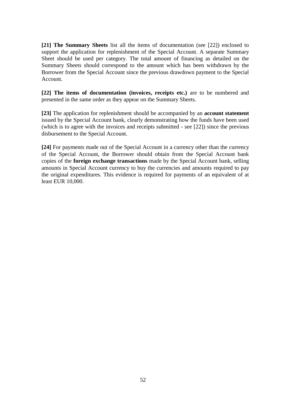**[21] The Summary Sheets** list all the items of documentation (see [22]) enclosed to support the application for replenishment of the Special Account. A separate Summary Sheet should be used per category. The total amount of financing as detailed on the Summary Sheets should correspond to the amount which has been withdrawn by the Borrower from the Special Account since the previous drawdown payment to the Special Account.

**[22] The items of documentation (invoices, receipts etc.)** are to be numbered and presented in the same order as they appear on the Summary Sheets.

**[23]** The application for replenishment should be accompanied by an **account statement** issued by the Special Account bank, clearly demonstrating how the funds have been used (which is to agree with the invoices and receipts submitted - see [22]) since the previous disbursement to the Special Account.

**[24]** For payments made out of the Special Account in a currency other than the currency of the Special Account, the Borrower should obtain from the Special Account bank copies of the **foreign exchange transactions** made by the Special Account bank, selling amounts in Special Account currency to buy the currencies and amounts required to pay the original expenditures. This evidence is required for payments of an equivalent of at least EUR 10,000.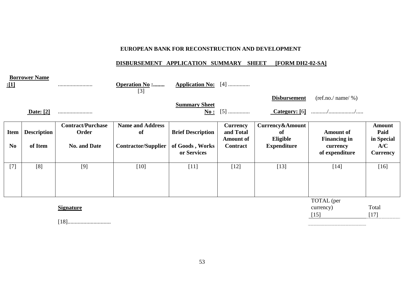## **EUROPEAN BANK FOR RECONSTRUCTION AND DEVELOPMENT**

# **DISBURSEMENT APPLICATION SUMMARY SHEET [FORM DH2-02-SA]**

| <u>:[1]</u>      | <b>Borrower Name</b> |                          | <b>Operation No :</b><br>$[3]$ | <b>Application No:</b> $[4]$   |                               |                         |                                         |                        |
|------------------|----------------------|--------------------------|--------------------------------|--------------------------------|-------------------------------|-------------------------|-----------------------------------------|------------------------|
|                  |                      |                          |                                |                                |                               | <b>Disbursement</b>     | $(\text{ref.no.}/\text{name}/\%)$       |                        |
|                  | <b>Date:</b> [2]     |                          |                                | <b>Summary Sheet</b><br>No:    | $[5]$                         | $\text{Category: } [6]$ |                                         |                        |
|                  |                      | <b>Contract/Purchase</b> | <b>Name and Address</b>        |                                | <b>Currency</b>               | Currency&Amount         |                                         | <b>Amount</b>          |
| <b>Item</b>      | <b>Description</b>   | Order                    | of                             | <b>Brief Description</b>       | and Total<br><b>Amount of</b> | of<br>Eligible          | <b>Amount of</b><br><b>Financing in</b> | Paid<br>in Special     |
| N <sub>0</sub>   | of Item              | <b>No. and Date</b>      | <b>Contractor/Supplier</b>     | of Goods, Works<br>or Services | Contract                      | <b>Expenditure</b>      | currency<br>of expenditure              | A/C<br><b>Currency</b> |
| $[7]$            | [8]                  | [9]                      | $[10]$                         | $[11]$                         | $[12]$                        | $[13]$                  | $[14]$                                  | $[16]$                 |
| <b>Signature</b> |                      |                          |                                |                                |                               | TOTAL (per<br>currency) | Total                                   |                        |
|                  |                      |                          |                                |                                |                               |                         |                                         |                        |

[18]..............................

 $[15]$  [17]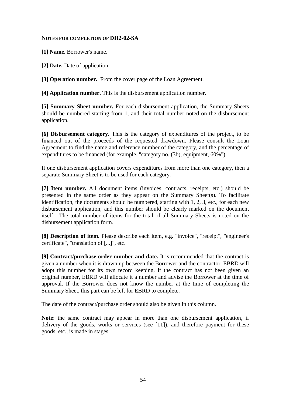#### **NOTES FOR COMPLETION OF DH2-02-SA**

**[1] Name.** Borrower's name.

**[2] Date.** Date of application.

**[3] Operation number.** From the cover page of the Loan Agreement.

**[4] Application number.** This is the disbursement application number.

**[5] Summary Sheet number.** For each disbursement application, the Summary Sheets should be numbered starting from 1, and their total number noted on the disbursement application.

**[6] Disbursement category.** This is the category of expenditures of the project, to be financed out of the proceeds of the requested drawdown. Please consult the Loan Agreement to find the name and reference number of the category, and the percentage of expenditures to be financed (for example, "category no. (3b), equipment, 60%").

If one disbursement application covers expenditures from more than one category, then a separate Summary Sheet is to be used for each category.

**[7] Item number.** All document items (invoices, contracts, receipts, etc.) should be presented in the same order as they appear on the Summary Sheet(s). To facilitate identification, the documents should be numbered, starting with 1, 2, 3, etc., for each new disbursement application, and this number should be clearly marked on the document itself. The total number of items for the total of all Summary Sheets is noted on the disbursement application form.

**[8] Description of item.** Please describe each item, e.g. "invoice", "receipt", "engineer's certificate", "translation of [...]", etc.

**[9] Contract/purchase order number and date.** It is recommended that the contract is given a number when it is drawn up between the Borrower and the contractor. EBRD will adopt this number for its own record keeping. If the contract has not been given an original number, EBRD will allocate it a number and advise the Borrower at the time of approval. If the Borrower does not know the number at the time of completing the Summary Sheet, this part can be left for EBRD to complete.

The date of the contract/purchase order should also be given in this column.

**Note**: the same contract may appear in more than one disbursement application, if delivery of the goods, works or services (see [11]), and therefore payment for these goods, etc., is made in stages.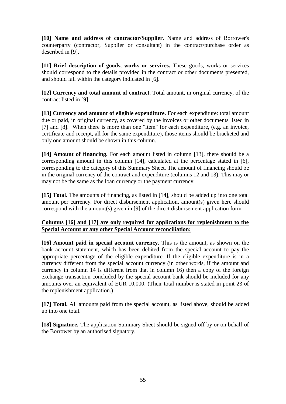**[10] Name and address of contractor/Supplier.** Name and address of Borrower's counterparty (contractor, Supplier or consultant) in the contract/purchase order as described in [9].

**[11] Brief description of goods, works or services.** These goods, works or services should correspond to the details provided in the contract or other documents presented, and should fall within the category indicated in [6].

**[12] Currency and total amount of contract.** Total amount, in original currency, of the contract listed in [9].

**[13] Currency and amount of eligible expenditure.** For each expenditure: total amount due or paid, in original currency, as covered by the invoices or other documents listed in [7] and [8]. When there is more than one "item" for each expenditure, (e.g. an invoice, certificate and receipt, all for the same expenditure), those items should be bracketed and only one amount should be shown in this column.

**[14] Amount of financing.** For each amount listed in column [13], there should be a corresponding amount in this column [14], calculated at the percentage stated in [6], corresponding to the category of this Summary Sheet. The amount of financing should be in the original currency of the contract and expenditure (columns 12 and 13). This may or may not be the same as the loan currency or the payment currency.

**[15] Total.** The amounts of financing, as listed in [14], should be added up into one total amount per currency. For direct disbursement application, amount(s) given here should correspond with the amount(s) given in [9] of the direct disbursement application form.

# **Columns [16] and [17] are only required for applications for replenishment to the Special Account or any other Special Account reconciliation:**

**[16] Amount paid in special account currency.** This is the amount, as shown on the bank account statement, which has been debited from the special account to pay the appropriate percentage of the eligible expenditure. If the eligible expenditure is in a currency different from the special account currency (in other words, if the amount and currency in column 14 is different from that in column 16) then a copy of the foreign exchange transaction concluded by the special account bank should be included for any amounts over an equivalent of EUR 10,000. (Their total number is stated in point 23 of the replenishment application.)

**[17] Total.** All amounts paid from the special account, as listed above, should be added up into one total.

**[18] Signature.** The application Summary Sheet should be signed off by or on behalf of the Borrower by an authorised signatory.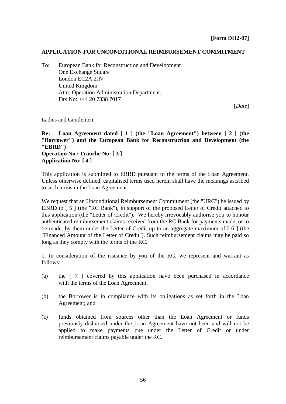## **APPLICATION FOR UNCONDITIONAL REIMBURSEMENT COMMITMENT**

To: European Bank for Reconstruction and Development One Exchange Square London EC2A 2JN United Kingdom Attn: Operation Administration Department. Fax No: +44 20 7338 7017

[*Date*]

Ladies and Gentlemen,

**Re: Loan Agreement dated [ 1 ] (the "Loan Agreement") between [ 2 ] (the "Borrower") and the European Bank for Reconstruction and Development (the "EBRD") Operation No / Tranche No: [ 3 ] Application No: [ 4 ]**

This application is submitted to EBRD pursuant to the terms of the Loan Agreement. Unless otherwise defined, capitalised terms used herein shall have the meanings ascribed to such terms in the Loan Agreement.

We request that an Unconditional Reimbursement Commitment (the "URC") be issued by EBRD to [5] (the "RC Bank"), in support of the proposed Letter of Credit attached to this application (the "Letter of Credit"). We hereby irrevocably authorise you to honour authenticated reimbursement claims received from the RC Bank for payments made, or to be made, by them under the Letter of Credit up to an aggregate maximum of  $\lceil 6 \rceil$  (the "Financed Amount of the Letter of Credit"). Such reimbursement claims may be paid so long as they comply with the terms of the RC.

1. In consideration of the issuance by you of the RC, we represent and warrant as follows:-

- (a) the [ 7 ] covered by this application have been purchased in accordance with the terms of the Loan Agreement.
- (b) the Borrower is in compliance with its obligations as set forth in the Loan Agreement; and
- (c) funds obtained from sources other than the Loan Agreement or funds previously disbursed under the Loan Agreement have not been and will not be applied to make payments due under the Letter of Credit or under reimbursement claims payable under the RC.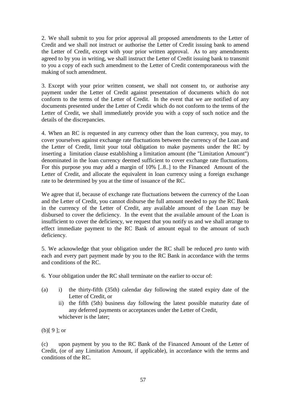2. We shall submit to you for prior approval all proposed amendments to the Letter of Credit and we shall not instruct or authorise the Letter of Credit issuing bank to amend the Letter of Credit, except with your prior written approval. As to any amendments agreed to by you in writing, we shall instruct the Letter of Credit issuing bank to transmit to you a copy of each such amendment to the Letter of Credit contemporaneous with the making of such amendment.

3. Except with your prior written consent, we shall not consent to, or authorise any payment under the Letter of Credit against presentation of documents which do not conform to the terms of the Letter of Credit. In the event that we are notified of any documents presented under the Letter of Credit which do not conform to the terms of the Letter of Credit, we shall immediately provide you with a copy of such notice and the details of the discrepancies.

4. When an RC is requested in any currency other than the loan currency, you may, to cover yourselves against exchange rate fluctuations between the currency of the Loan and the Letter of Credit, limit your total obligation to make payments under the RC by inserting a limitation clause establishing a limitation amount (the "Limitation Amount") denominated in the loan currency deemed sufficient to cover exchange rate fluctuations. For this purpose you may add a margin of 10% [..8..] to the Financed Amount of the Letter of Credit, and allocate the equivalent in loan currency using a foreign exchange rate to be determined by you at the time of issuance of the RC.

We agree that if, because of exchange rate fluctuations between the currency of the Loan and the Letter of Credit, you cannot disburse the full amount needed to pay the RC Bank in the currency of the Letter of Credit, any available amount of the Loan may be disbursed to cover the deficiency. In the event that the available amount of the Loan is insufficient to cover the deficiency, we request that you notify us and we shall arrange to effect immediate payment to the RC Bank of amount equal to the amount of such deficiency.

5. We acknowledge that your obligation under the RC shall be reduced *pro tanto* with each and every part payment made by you to the RC Bank in accordance with the terms and conditions of the RC.

6. Your obligation under the RC shall terminate on the earlier to occur of:

- (a) i) the thirty-fifth (35th) calendar day following the stated expiry date of the Letter of Credit, or
	- ii) the fifth (5th) business day following the latest possible maturity date of any deferred payments or acceptances under the Letter of Credit, whichever is the later;

(b)[ 9 ]; or

(c) upon payment by you to the RC Bank of the Financed Amount of the Letter of Credit, (or of any Limitation Amount, if applicable), in accordance with the terms and conditions of the RC.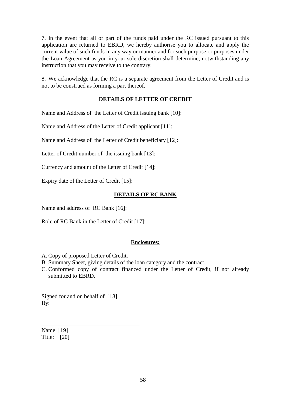7. In the event that all or part of the funds paid under the RC issued pursuant to this application are returned to EBRD, we hereby authorise you to allocate and apply the current value of such funds in any way or manner and for such purpose or purposes under the Loan Agreement as you in your sole discretion shall determine, notwithstanding any instruction that you may receive to the contrary.

8. We acknowledge that the RC is a separate agreement from the Letter of Credit and is not to be construed as forming a part thereof.

## **DETAILS OF LETTER OF CREDIT**

Name and Address of the Letter of Credit issuing bank [10]:

Name and Address of the Letter of Credit applicant [11]:

Name and Address of the Letter of Credit beneficiary [12]:

Letter of Credit number of the issuing bank [13]:

Currency and amount of the Letter of Credit [14]:

Expiry date of the Letter of Credit [15]:

## **DETAILS OF RC BANK**

Name and address of RC Bank [16]:

Role of RC Bank in the Letter of Credit [17]:

#### **Enclosures:**

A. Copy of proposed Letter of Credit.

B. Summary Sheet, giving details of the loan category and the contract.

C. Conformed copy of contract financed under the Letter of Credit, if not already submitted to EBRD.

Signed for and on behalf of [18] By:

\_\_\_\_\_\_\_\_\_\_\_\_\_\_\_\_\_\_\_\_\_\_\_\_\_\_\_\_\_\_\_\_\_\_

Name: [19] Title: [20]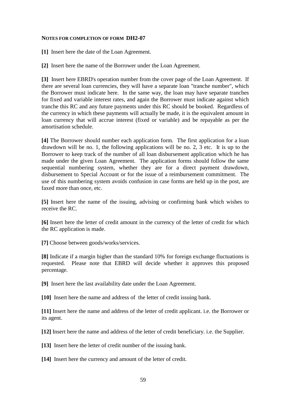#### **NOTES FOR COMPLETION OF FORM DH2-07**

**[1]** Insert here the date of the Loan Agreement.

**[2]** Insert here the name of the Borrower under the Loan Agreement.

**[3]** Insert here EBRD's operation number from the cover page of the Loan Agreement. If there are several loan currencies, they will have a separate loan "tranche number", which the Borrower must indicate here. In the same way, the loan may have separate tranches for fixed and variable interest rates, and again the Borrower must indicate against which tranche this RC and any future payments under this RC should be booked. Regardless of the currency in which these payments will actually be made, it is the equivalent amount in loan currency that will accrue interest (fixed or variable) and be repayable as per the amortisation schedule.

**[4]** The Borrower should number each application form. The first application for a loan drawdown will be no. 1, the following applications will be no. 2, 3 etc. It is up to the Borrower to keep track of the number of all loan disbursement application which he has made under the given Loan Agreement. The application forms should follow the same sequential numbering system, whether they are for a direct payment drawdown, disbursement to Special Account or for the issue of a reimbursement commitment. The use of this numbering system avoids confusion in case forms are held up in the post, are faxed more than once, etc.

**[5]** Insert here the name of the issuing, advising or confirming bank which wishes to receive the RC.

**[6]** Insert here the letter of credit amount in the currency of the letter of credit for which the RC application is made.

**[7]** Choose between goods/works/services.

**[8]** Indicate if a margin higher than the standard 10% for foreign exchange fluctuations is requested. Please note that EBRD will decide whether it approves this proposed percentage.

**[9]** Insert here the last availability date under the Loan Agreement.

**[10]** Insert here the name and address of the letter of credit issuing bank.

**[11]** Insert here the name and address of the letter of credit applicant. i.e. the Borrower or its agent.

**[12]** Insert here the name and address of the letter of credit beneficiary. i.e. the Supplier.

**[13]** Insert here the letter of credit number of the issuing bank.

**[14]** Insert here the currency and amount of the letter of credit.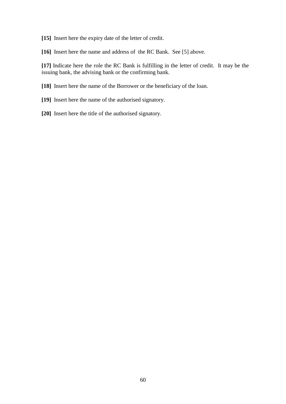**[15]** Insert here the expiry date of the letter of credit.

**[16]** Insert here the name and address of the RC Bank. See [5] above.

**[17]** Indicate here the role the RC Bank is fulfilling in the letter of credit. It may be the issuing bank, the advising bank or the confirming bank.

**[18]** Insert here the name of the Borrower or the beneficiary of the loan.

- **[19]** Insert here the name of the authorised signatory.
- **[20]** Insert here the title of the authorised signatory.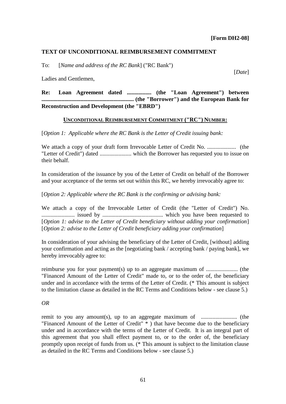[*Date*]

## **TEXT OF UNCONDITIONAL REIMBURSEMENT COMMITMENT**

To: [*Name and address of the RC Bank*] ("RC Bank")

Ladies and Gentlemen,

**Re: Loan Agreement dated ................. (the "Loan Agreement") between ................................................................ (the "Borrower") and the European Bank for Reconstruction and Development (the "EBRD")**

#### **UNCONDITIONAL REIMBURSEMENT COMMITMENT ("RC") NUMBER:**

[*Option 1: Applicable where the RC Bank is the Letter of Credit issuing bank:*

We attach a copy of your draft form Irrevocable Letter of Credit No. .................... (the "Letter of Credit") dated ...................... which the Borrower has requested you to issue on their behalf.

In consideration of the issuance by you of the Letter of Credit on behalf of the Borrower and your acceptance of the terms set out within this RC, we hereby irrevocably agree to:

[*Option 2: Applicable where the RC Bank is the confirming or advising bank:*

We attach a copy of the Irrevocable Letter of Credit (the "Letter of Credit") No. ....................... issued by .......................................... which you have been requested to [*Option 1: advise to the Letter of Credit beneficiary without adding your confirmation*] [*Option 2: advise to the Letter of Credit beneficiary adding your confirmation*]

In consideration of your advising the beneficiary of the Letter of Credit, [without] adding your confirmation and acting as the [negotiating bank / accepting bank / paying bank], we hereby irrevocably agree to:

reimburse you for your payment(s) up to an aggregate maximum of ...................... (the "Financed Amount of the Letter of Credit" made to, or to the order of, the beneficiary under and in accordance with the terms of the Letter of Credit. (\* This amount is subject to the limitation clause as detailed in the RC Terms and Conditions below - see clause 5.)

#### *OR*

remit to you any amount(s), up to an aggregate maximum of ......................... (the "Financed Amount of the Letter of Credit" \* ) that have become due to the beneficiary under and in accordance with the terms of the Letter of Credit. It is an integral part of this agreement that you shall effect payment to, or to the order of, the beneficiary promptly upon receipt of funds from us. (\* This amount is subject to the limitation clause as detailed in the RC Terms and Conditions below - see clause 5.)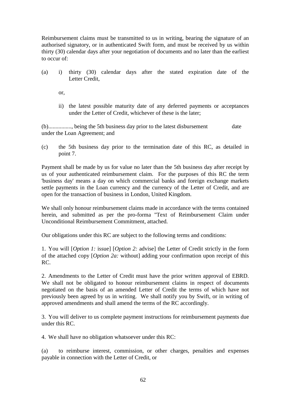Reimbursement claims must be transmitted to us in writing, bearing the signature of an authorised signatory, or in authenticated Swift form, and must be received by us within thirty (30) calendar days after your negotiation of documents and no later than the earliest to occur of:

(a) i) thirty (30) calendar days after the stated expiration date of the Letter Credit

or,

ii) the latest possible maturity date of any deferred payments or acceptances under the Letter of Credit, whichever of these is the later;

(b)................, being the 5th business day prior to the latest disbursement date under the Loan Agreement; and

(c) the 5th business day prior to the termination date of this RC, as detailed in point 7.

Payment shall be made by us for value no later than the 5th business day after receipt by us of your authenticated reimbursement claim. For the purposes of this RC the term 'business day' means a day on which commercial banks and foreign exchange markets settle payments in the Loan currency and the currency of the Letter of Credit, and are open for the transaction of business in London, United Kingdom.

We shall only honour reimbursement claims made in accordance with the terms contained herein, and submitted as per the pro-forma "Text of Reimbursement Claim under Unconditional Reimbursement Commitment, attached.

Our obligations under this RC are subject to the following terms and conditions:

1. You will [*Option 1:* issue] [*Option 2:* advise] the Letter of Credit strictly in the form of the attached copy [*Option 2a:* without] adding your confirmation upon receipt of this RC.

2. Amendments to the Letter of Credit must have the prior written approval of EBRD. We shall not be obligated to honour reimbursement claims in respect of documents negotiated on the basis of an amended Letter of Credit the terms of which have not previously been agreed by us in writing. We shall notify you by Swift, or in writing of approved amendments and shall amend the terms of the RC accordingly.

3. You will deliver to us complete payment instructions for reimbursement payments due under this RC.

4. We shall have no obligation whatsoever under this RC:

(a) to reimburse interest, commission, or other charges, penalties and expenses payable in connection with the Letter of Credit, or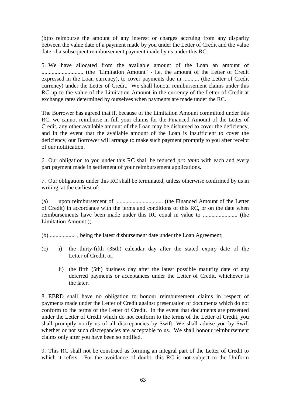(b)to reimburse the amount of any interest or charges accruing from any disparity between the value date of a payment made by you under the Letter of Credit and the value date of a subsequent reimbursement payment made by us under this RC.

5. We have allocated from the available amount of the Loan an amount of ............................. (the "Limitation Amount" - i.e. the amount of the Letter of Credit expressed in the Loan currency), to cover payments due in ........... (the Letter of Credit currency) under the Letter of Credit. We shall honour reimbursement claims under this RC up to the value of the Limitation Amount in the currency of the Letter of Credit at exchange rates determined by ourselves when payments are made under the RC.

The Borrower has agreed that if, because of the Limitation Amount committed under this RC, we cannot reimburse in full your claims for the Financed Amount of the Letter of Credit, any other available amount of the Loan may be disbursed to cover the deficiency, and in the event that the available amount of the Loan is insufficient to cover the deficiency, our Borrower will arrange to make such payment promptly to you after receipt of our notification.

6. Our obligation to you under this RC shall be reduced *pro tanto* with each and every part payment made in settlement of your reimbursement applications.

7. Our obligations under this RC shall be terminated, unless otherwise confirmed by us in writing, at the earliest of:

(a) upon reimbursement of ................................. (the Financed Amount of the Letter of Credit) in accordance with the terms and conditions of this RC, or on the date when reimbursements have been made under this RC equal in value to ........................ (the Limitation Amount );

(b)................... , being the latest disbursement date under the Loan Agreement;

- (c) i) the thirty-fifth (35th) calendar day after the stated expiry date of the Letter of Credit, or,
	- ii) the fifth (5th) business day after the latest possible maturity date of any deferred payments or acceptances under the Letter of Credit, whichever is the later.

8. EBRD shall have no obligation to honour reimbursement claims in respect of payments made under the Letter of Credit against presentation of documents which do not conform to the terms of the Letter of Credit. In the event that documents are presented under the Letter of Credit which do not conform to the terms of the Letter of Credit, you shall promptly notify us of all discrepancies by Swift. We shall advise you by Swift whether or not such discrepancies are acceptable to us. We shall honour reimbursement claims only after you have been so notified.

9. This RC shall not be construed as forming an integral part of the Letter of Credit to which it refers. For the avoidance of doubt, this RC is not subject to the Uniform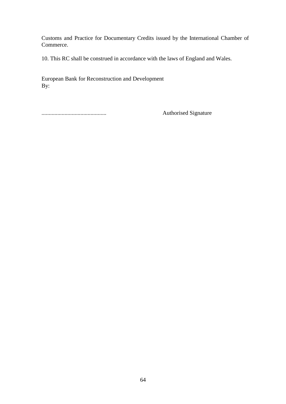Customs and Practice for Documentary Credits issued by the International Chamber of Commerce.

10. This RC shall be construed in accordance with the laws of England and Wales.

European Bank for Reconstruction and Development By:

............................................. Authorised Signature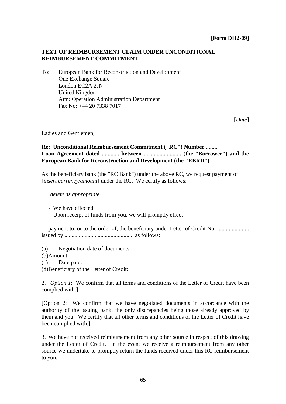# **TEXT OF REIMBURSEMENT CLAIM UNDER UNCONDITIONAL REIMBURSEMENT COMMITMENT**

To: European Bank for Reconstruction and Development One Exchange Square London EC2A 2JN United Kingdom Attn: Operation Administration Department Fax No: +44 20 7338 7017

[*Date*]

Ladies and Gentlemen,

**Re: Unconditional Reimbursement Commitment ("RC") Number ........ Loan Agreement dated ............ between .......................... (the "Borrower") and the European Bank for Reconstruction and Development (the "EBRD")**

As the beneficiary bank (the "RC Bank") under the above RC, we request payment of [*insert currency/amount*] under the RC. We certify as follows:

1. [*delete as appropriate*]

- Upon receipt of funds from you, we will promptly effect

payment to, or to the order of, the beneficiary under Letter of Credit No. ......................... issued by ............................................... as follows:

(a) Negotiation date of documents:

(b)Amount:

(c) Date paid:

(d)Beneficiary of the Letter of Credit:

2. [*Option 1*: We confirm that all terms and conditions of the Letter of Credit have been complied with.]

[Option 2: We confirm that we have negotiated documents in accordance with the authority of the issuing bank, the only discrepancies being those already approved by them and you. We certify that all other terms and conditions of the Letter of Credit have been complied with.]

3. We have not received reimbursement from any other source in respect of this drawing under the Letter of Credit. In the event we receive a reimbursement from any other source we undertake to promptly return the funds received under this RC reimbursement to you.

<sup>-</sup> We have effected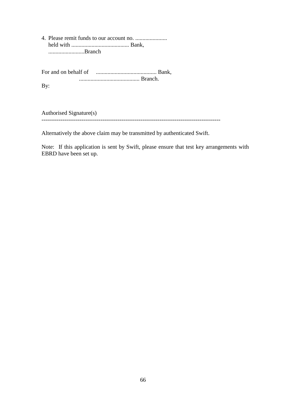4. Please remit funds to our account no. ...................... held with ........................................ Bank, .........................Branch

For and on behalf of .......................................... Bank, .......................................... Branch.

By:

Authorised Signature(s)

----------------------------------------------------------------------------------------------

Alternatively the above claim may be transmitted by authenticated Swift.

Note: If this application is sent by Swift, please ensure that test key arrangements with EBRD have been set up.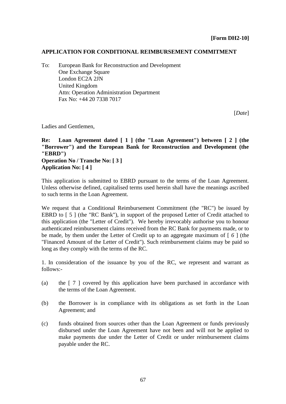## **APPLICATION FOR CONDITIONAL REIMBURSEMENT COMMITMENT**

To: European Bank for Reconstruction and Development One Exchange Square London EC2A 2JN United Kingdom Attn: Operation Administration Department Fax No: +44 20 7338 7017

[*Date*]

Ladies and Gentlemen,

# **Re: Loan Agreement dated [ 1 ] (the "Loan Agreement") between [ 2 ] (the "Borrower") and the European Bank for Reconstruction and Development (the "EBRD") Operation No / Tranche No: [ 3 ] Application No: [ 4 ]**

This application is submitted to EBRD pursuant to the terms of the Loan Agreement. Unless otherwise defined, capitalised terms used herein shall have the meanings ascribed to such terms in the Loan Agreement.

We request that a Conditional Reimbursement Commitment (the "RC") be issued by EBRD to [5] (the "RC Bank"), in support of the proposed Letter of Credit attached to this application (the "Letter of Credit"). We hereby irrevocably authorise you to honour authenticated reimbursement claims received from the RC Bank for payments made, or to be made, by them under the Letter of Credit up to an aggregate maximum of [ *6* ] (the "Financed Amount of the Letter of Credit"). Such reimbursement claims may be paid so long as they comply with the terms of the RC.

1. In consideration of the issuance by you of the RC, we represent and warrant as follows:-

- (a) the [ 7 ] covered by this application have been purchased in accordance with the terms of the Loan Agreement.
- (b) the Borrower is in compliance with its obligations as set forth in the Loan Agreement; and
- (c) funds obtained from sources other than the Loan Agreement or funds previously disbursed under the Loan Agreement have not been and will not be applied to make payments due under the Letter of Credit or under reimbursement claims payable under the RC.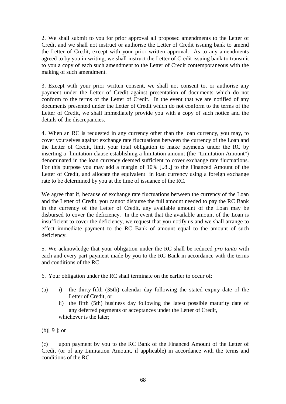2. We shall submit to you for prior approval all proposed amendments to the Letter of Credit and we shall not instruct or authorise the Letter of Credit issuing bank to amend the Letter of Credit, except with your prior written approval. As to any amendments agreed to by you in writing, we shall instruct the Letter of Credit issuing bank to transmit to you a copy of each such amendment to the Letter of Credit contemporaneous with the making of such amendment.

3. Except with your prior written consent, we shall not consent to, or authorise any payment under the Letter of Credit against presentation of documents which do not conform to the terms of the Letter of Credit. In the event that we are notified of any documents presented under the Letter of Credit which do not conform to the terms of the Letter of Credit, we shall immediately provide you with a copy of such notice and the details of the discrepancies.

4. When an RC is requested in any currency other than the loan currency, you may, to cover yourselves against exchange rate fluctuations between the currency of the Loan and the Letter of Credit, limit your total obligation to make payments under the RC by inserting a limitation clause establishing a limitation amount (the "Limitation Amount") denominated in the loan currency deemed sufficient to cover exchange rate fluctuations. For this purpose you may add a margin of 10% [..8..] to the Financed Amount of the Letter of Credit, and allocate the equivalent in loan currency using a foreign exchange rate to be determined by you at the time of issuance of the RC.

We agree that if, because of exchange rate fluctuations between the currency of the Loan and the Letter of Credit, you cannot disburse the full amount needed to pay the RC Bank in the currency of the Letter of Credit, any available amount of the Loan may be disbursed to cover the deficiency. In the event that the available amount of the Loan is insufficient to cover the deficiency, we request that you notify us and we shall arrange to effect immediate payment to the RC Bank of amount equal to the amount of such deficiency.

5. We acknowledge that your obligation under the RC shall be reduced *pro tanto* with each and every part payment made by you to the RC Bank in accordance with the terms and conditions of the RC.

6. Your obligation under the RC shall terminate on the earlier to occur of:

- (a) i) the thirty-fifth (35th) calendar day following the stated expiry date of the Letter of Credit, or
	- ii) the fifth (5th) business day following the latest possible maturity date of any deferred payments or acceptances under the Letter of Credit, whichever is the later;

(b)[ 9 ]; or

(c) upon payment by you to the RC Bank of the Financed Amount of the Letter of Credit (or of any Limitation Amount, if applicable) in accordance with the terms and conditions of the RC.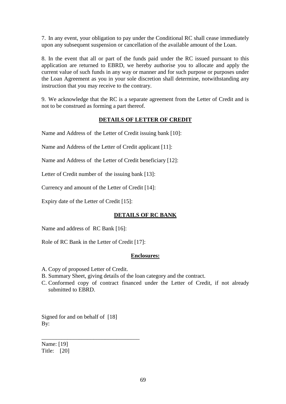7. In any event, your obligation to pay under the Conditional RC shall cease immediately upon any subsequent suspension or cancellation of the available amount of the Loan.

8. In the event that all or part of the funds paid under the RC issued pursuant to this application are returned to EBRD, we hereby authorise you to allocate and apply the current value of such funds in any way or manner and for such purpose or purposes under the Loan Agreement as you in your sole discretion shall determine, notwithstanding any instruction that you may receive to the contrary.

9. We acknowledge that the RC is a separate agreement from the Letter of Credit and is not to be construed as forming a part thereof.

# **DETAILS OF LETTER OF CREDIT**

Name and Address of the Letter of Credit issuing bank [10]:

Name and Address of the Letter of Credit applicant [11]:

Name and Address of the Letter of Credit beneficiary [12]:

Letter of Credit number of the issuing bank [13]:

Currency and amount of the Letter of Credit [14]:

Expiry date of the Letter of Credit [15]:

#### **DETAILS OF RC BANK**

Name and address of RC Bank [16]:

Role of RC Bank in the Letter of Credit [17]:

#### **Enclosures:**

- A. Copy of proposed Letter of Credit.
- B. Summary Sheet, giving details of the loan category and the contract.
- C. Conformed copy of contract financed under the Letter of Credit, if not already submitted to EBRD.

Signed for and on behalf of [18] By:

\_\_\_\_\_\_\_\_\_\_\_\_\_\_\_\_\_\_\_\_\_\_\_\_\_\_\_\_\_\_\_\_\_\_

Name: [19] Title: [20]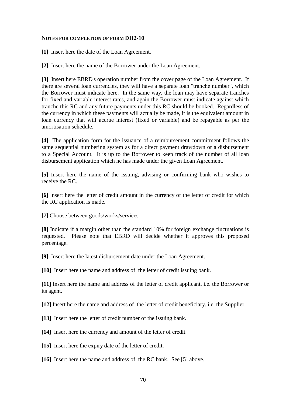### **NOTES FOR COMPLETION OF FORM DH2-10**

**[1]** Insert here the date of the Loan Agreement.

**[2]** Insert here the name of the Borrower under the Loan Agreement.

**[3]** Insert here EBRD's operation number from the cover page of the Loan Agreement. If there are several loan currencies, they will have a separate loan "tranche number", which the Borrower must indicate here. In the same way, the loan may have separate tranches for fixed and variable interest rates, and again the Borrower must indicate against which tranche this RC and any future payments under this RC should be booked. Regardless of the currency in which these payments will actually be made, it is the equivalent amount in loan currency that will accrue interest (fixed or variable) and be repayable as per the amortisation schedule.

**[4]** The application form for the issuance of a reimbursement commitment follows the same sequential numbering system as for a direct payment drawdown or a disbursement to a Special Account. It is up to the Borrower to keep track of the number of all loan disbursement application which he has made under the given Loan Agreement.

**[5]** Insert here the name of the issuing, advising or confirming bank who wishes to receive the RC.

**[6]** Insert here the letter of credit amount in the currency of the letter of credit for which the RC application is made.

**[7]** Choose between goods/works/services.

**[8]** Indicate if a margin other than the standard 10% for foreign exchange fluctuations is requested. Please note that EBRD will decide whether it approves this proposed percentage.

**[9]** Insert here the latest disbursement date under the Loan Agreement.

**[10]** Insert here the name and address of the letter of credit issuing bank.

**[11]** Insert here the name and address of the letter of credit applicant. i.e. the Borrower or its agent.

**[12]** Insert here the name and address of the letter of credit beneficiary. i.e. the Supplier.

- **[13]** Insert here the letter of credit number of the issuing bank.
- **[14]** Insert here the currency and amount of the letter of credit.
- **[15]** Insert here the expiry date of the letter of credit.
- **[16]** Insert here the name and address of the RC bank. See [5] above.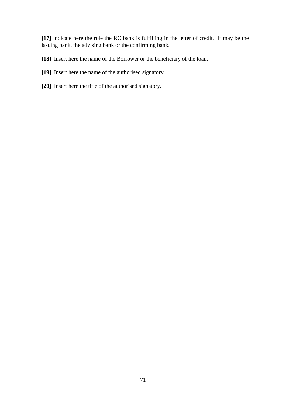**[17]** Indicate here the role the RC bank is fulfilling in the letter of credit. It may be the issuing bank, the advising bank or the confirming bank.

**[18]** Insert here the name of the Borrower or the beneficiary of the loan.

- **[19]** Insert here the name of the authorised signatory.
- **[20]** Insert here the title of the authorised signatory.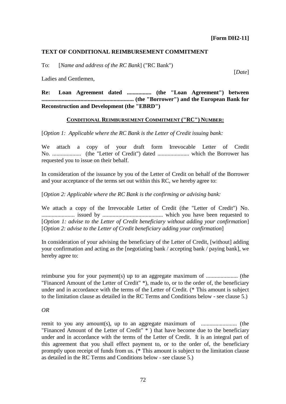[*Date*]

## **TEXT OF CONDITIONAL REIMBURSEMENT COMMITMENT**

To: [*Name and address of the RC Bank*] ("RC Bank")

Ladies and Gentlemen,

**Re: Loan Agreement dated ................. (the "Loan Agreement") between ................................................................ (the "Borrower") and the European Bank for Reconstruction and Development (the "EBRD")**

### **CONDITIONAL REIMBURSEMENT COMMITMENT ("RC") NUMBER:**

[*Option 1: Applicable where the RC Bank is the Letter of Credit issuing bank:*

We attach a copy of your draft form Irrevocable Letter of Credit No. .................... (the "Letter of Credit") dated ...................... which the Borrower has requested you to issue on their behalf.

In consideration of the issuance by you of the Letter of Credit on behalf of the Borrower and your acceptance of the terms set out within this RC, we hereby agree to:

[*Option 2: Applicable where the RC Bank is the confirming or advising bank:*

We attach a copy of the Irrevocable Letter of Credit (the "Letter of Credit") No. ....................... issued by .......................................... which you have been requested to [*Option 1: advise to the Letter of Credit beneficiary without adding your confirmation*] [*Option 2: advise to the Letter of Credit beneficiary adding your confirmation*]

In consideration of your advising the beneficiary of the Letter of Credit, [without] adding your confirmation and acting as the [negotiating bank / accepting bank / paying bank], we hereby agree to:

reimburse you for your payment(s) up to an aggregate maximum of ...................... (the "Financed Amount of the Letter of Credit" \*), made to, or to the order of, the beneficiary under and in accordance with the terms of the Letter of Credit. (\* This amount is subject to the limitation clause as detailed in the RC Terms and Conditions below - see clause 5.)

### *OR*

remit to you any amount(s), up to an aggregate maximum of ......................... (the "Financed Amount of the Letter of Credit" \* ) that have become due to the beneficiary under and in accordance with the terms of the Letter of Credit. It is an integral part of this agreement that you shall effect payment to, or to the order of, the beneficiary promptly upon receipt of funds from us. (\* This amount is subject to the limitation clause as detailed in the RC Terms and Conditions below - see clause 5.)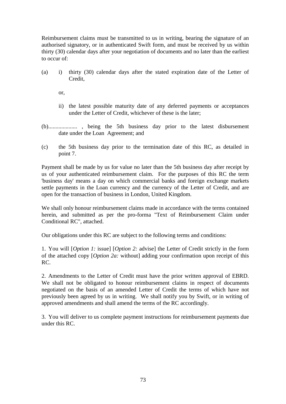Reimbursement claims must be transmitted to us in writing, bearing the signature of an authorised signatory, or in authenticated Swift form, and must be received by us within thirty (30) calendar days after your negotiation of documents and no later than the earliest to occur of:

(a) i) thirty (30) calendar days after the stated expiration date of the Letter of Credit,

or,

- ii) the latest possible maturity date of any deferred payments or acceptances under the Letter of Credit, whichever of these is the later;
- (b).................... , being the 5th business day prior to the latest disbursement date under the Loan Agreement; and
- (c) the 5th business day prior to the termination date of this RC, as detailed in point 7.

Payment shall be made by us for value no later than the 5th business day after receipt by us of your authenticated reimbursement claim. For the purposes of this RC the term 'business day' means a day on which commercial banks and foreign exchange markets settle payments in the Loan currency and the currency of the Letter of Credit, and are open for the transaction of business in London, United Kingdom.

We shall only honour reimbursement claims made in accordance with the terms contained herein, and submitted as per the pro-forma "Text of Reimbursement Claim under Conditional RC", attached.

Our obligations under this RC are subject to the following terms and conditions:

1. You will [*Option 1:* issue] [*Option 2:* advise] the Letter of Credit strictly in the form of the attached copy [*Option 2a:* without] adding your confirmation upon receipt of this RC.

2. Amendments to the Letter of Credit must have the prior written approval of EBRD. We shall not be obligated to honour reimbursement claims in respect of documents negotiated on the basis of an amended Letter of Credit the terms of which have not previously been agreed by us in writing. We shall notify you by Swift, or in writing of approved amendments and shall amend the terms of the RC accordingly.

3. You will deliver to us complete payment instructions for reimbursement payments due under this RC.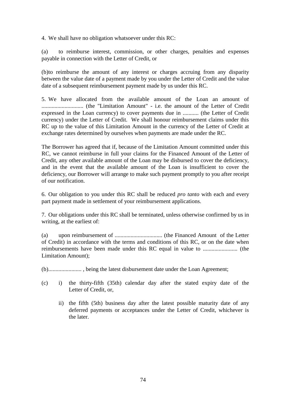4. We shall have no obligation whatsoever under this RC:

(a) to reimburse interest, commission, or other charges, penalties and expenses payable in connection with the Letter of Credit, or

(b)to reimburse the amount of any interest or charges accruing from any disparity between the value date of a payment made by you under the Letter of Credit and the value date of a subsequent reimbursement payment made by us under this RC.

5. We have allocated from the available amount of the Loan an amount of ............................. (the "Limitation Amount" - i.e. the amount of the Letter of Credit expressed in the Loan currency) to cover payments due in ........... (the Letter of Credit currency) under the Letter of Credit. We shall honour reimbursement claims under this RC up to the value of this Limitation Amount in the currency of the Letter of Credit at exchange rates determined by ourselves when payments are made under the RC.

The Borrower has agreed that if, because of the Limitation Amount committed under this RC, we cannot reimburse in full your claims for the Financed Amount of the Letter of Credit, any other available amount of the Loan may be disbursed to cover the deficiency, and in the event that the available amount of the Loan is insufficient to cover the deficiency, our Borrower will arrange to make such payment promptly to you after receipt of our notification.

6. Our obligation to you under this RC shall be reduced *pro tanto* with each and every part payment made in settlement of your reimbursement applications.

7. Our obligations under this RC shall be terminated, unless otherwise confirmed by us in writing, at the earliest of:

(a) upon reimbursement of ................................. (the Financed Amount of the Letter of Credit) in accordance with the terms and conditions of this RC, or on the date when reimbursements have been made under this RC equal in value to ........................ (the Limitation Amount);

(b)....................... , being the latest disbursement date under the Loan Agreement;

- (c) i) the thirty-fifth (35th) calendar day after the stated expiry date of the Letter of Credit, or,
	- ii) the fifth (5th) business day after the latest possible maturity date of any deferred payments or acceptances under the Letter of Credit, whichever is the later.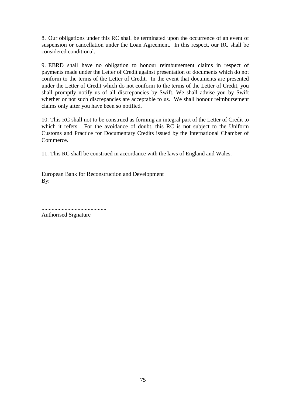8. Our obligations under this RC shall be terminated upon the occurrence of an event of suspension or cancellation under the Loan Agreement. In this respect, our RC shall be considered conditional.

9. EBRD shall have no obligation to honour reimbursement claims in respect of payments made under the Letter of Credit against presentation of documents which do not conform to the terms of the Letter of Credit. In the event that documents are presented under the Letter of Credit which do not conform to the terms of the Letter of Credit, you shall promptly notify us of all discrepancies by Swift. We shall advise you by Swift whether or not such discrepancies are acceptable to us. We shall honour reimbursement claims only after you have been so notified.

10. This RC shall not to be construed as forming an integral part of the Letter of Credit to which it refers. For the avoidance of doubt, this RC is not subject to the Uniform Customs and Practice for Documentary Credits issued by the International Chamber of Commerce.

11. This RC shall be construed in accordance with the laws of England and Wales.

European Bank for Reconstruction and Development By:

............................................. Authorised Signature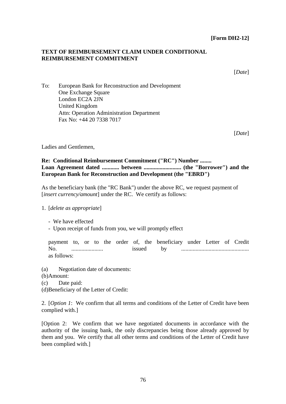# **TEXT OF REIMBURSEMENT CLAIM UNDER CONDITIONAL REIMBURSEMENT COMMITMENT**

[*Date*]

To: European Bank for Reconstruction and Development One Exchange Square London EC2A 2JN United Kingdom Attn: Operation Administration Department Fax No: +44 20 7338 7017

[*Date*]

Ladies and Gentlemen,

## **Re: Conditional Reimbursement Commitment ("RC") Number ........ Loan Agreement dated ............ between .......................... (the "Borrower") and the European Bank for Reconstruction and Development (the "EBRD")**

As the beneficiary bank (the "RC Bank") under the above RC, we request payment of [*insert currency/amount*] under the RC. We certify as follows:

- 1. [*delete as appropriate*]
	- We have effected
	- Upon receipt of funds from you, we will promptly effect

payment to, or to the order of, the beneficiary under Letter of Credit No. ...................... issued by ............................................... as follows:

- (a) Negotiation date of documents:
- (b)Amount:
- (c) Date paid:
- (d)Beneficiary of the Letter of Credit:

2. [*Option 1*: We confirm that all terms and conditions of the Letter of Credit have been complied with.]

[Option 2: We confirm that we have negotiated documents in accordance with the authority of the issuing bank, the only discrepancies being those already approved by them and you. We certify that all other terms and conditions of the Letter of Credit have been complied with.]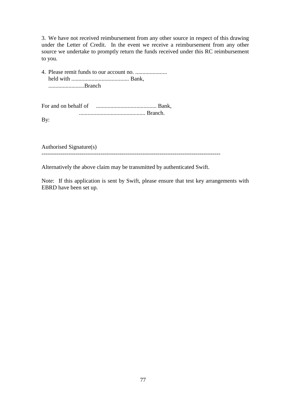3. We have not received reimbursement from any other source in respect of this drawing under the Letter of Credit. In the event we receive a reimbursement from any other source we undertake to promptly return the funds received under this RC reimbursement to you.

4. Please remit funds to our account no. ...................... held with ........................................ Bank, .........................Branch

For and on behalf of .......................................... Bank, .............................................. Branch. By:

Authorised Signature(s)

----------------------------------------------------------------------------------------------

Alternatively the above claim may be transmitted by authenticated Swift.

Note: If this application is sent by Swift, please ensure that test key arrangements with EBRD have been set up.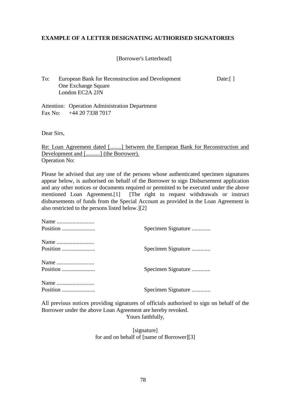# **EXAMPLE OF A LETTER DESIGNATING AUTHORISED SIGNATORIES**

# [Borrower's Letterhead]

To: European Bank for Reconstruction and Development Date:[] One Exchange Square London EC2A 2JN

Attention: Operation Administration Department Fax No: +44 20 7338 7017

Dear Sirs,

Re: Loan Agreement dated [........] between the European Bank for Reconstruction and Development and [..........] (the Borrower). Operation No:

Please be advised that any one of the persons whose authenticated specimen signatures appear below, is authorised on behalf of the Borrower to sign Disbursement application and any other notices or documents required or permitted to be executed under the above mentioned Loan Agreement.[1] [The right to request withdrawals or instruct disbursements of funds from the Special Account as provided in the Loan Agreement is also restricted to the persons listed below.][2]

| Position | Specimen Signature |
|----------|--------------------|
|          |                    |
|          | Specimen Signature |
|          |                    |
| Position | Specimen Signature |
|          |                    |
| Position | Specimen Signature |

All previous notices providing signatures of officials authorised to sign on behalf of the Borrower under the above Loan Agreement are hereby revoked. Yours faithfully,

> [signature] for and on behalf of [name of Borrower][3]